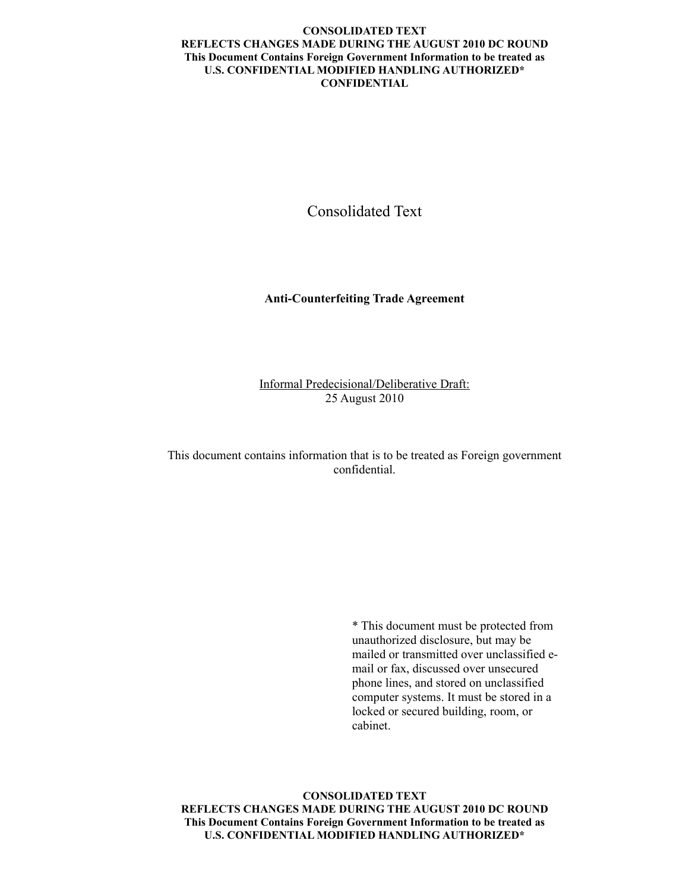## **CONSOLIDATED TEXT REFLECTS CHANGES MADE DURING THE AUGUST 2010 DC ROUND This Document Contains Foreign Government Information to be treated as U.S. CONFIDENTIAL MODIFIED HANDLING AUTHORIZED\* CONFIDENTIAL**

Consolidated Text

**Anti-Counterfeiting Trade Agreement**

Informal Predecisional/Deliberative Draft: 25 August 2010

This document contains information that is to be treated as Foreign government confidential.

> \* This document must be protected from unauthorized disclosure, but may be mailed or transmitted over unclassified email or fax, discussed over unsecured phone lines, and stored on unclassified computer systems. It must be stored in a locked or secured building, room, or cabinet.

**CONSOLIDATED TEXT REFLECTS CHANGES MADE DURING THE AUGUST 2010 DC ROUND This Document Contains Foreign Government Information to be treated as U.S. CONFIDENTIAL MODIFIED HANDLING AUTHORIZED\***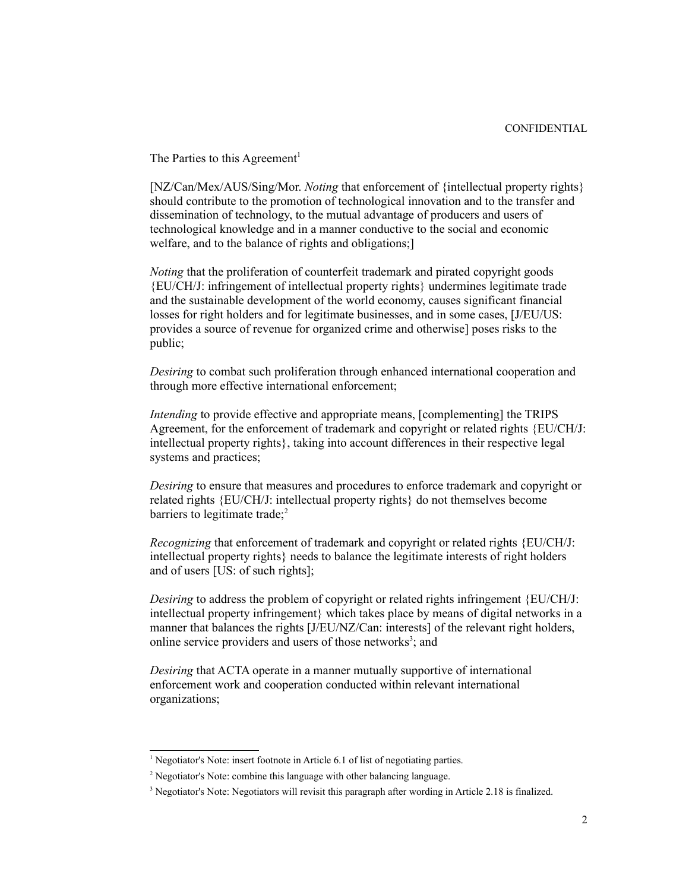The Parties to this Agreement<sup>[1](#page-1-0)</sup>

[NZ/Can/Mex/AUS/Sing/Mor. *Noting* that enforcement of {intellectual property rights} should contribute to the promotion of technological innovation and to the transfer and dissemination of technology, to the mutual advantage of producers and users of technological knowledge and in a manner conductive to the social and economic welfare, and to the balance of rights and obligations;]

*Noting* that the proliferation of counterfeit trademark and pirated copyright goods {EU/CH/J: infringement of intellectual property rights} undermines legitimate trade and the sustainable development of the world economy, causes significant financial losses for right holders and for legitimate businesses, and in some cases, [J/EU/US: provides a source of revenue for organized crime and otherwise] poses risks to the public;

*Desiring* to combat such proliferation through enhanced international cooperation and through more effective international enforcement;

*Intending* to provide effective and appropriate means, [complementing] the TRIPS Agreement, for the enforcement of trademark and copyright or related rights {EU/CH/J: intellectual property rights}, taking into account differences in their respective legal systems and practices;

*Desiring* to ensure that measures and procedures to enforce trademark and copyright or related rights {EU/CH/J: intellectual property rights} do not themselves become barriers to legitimate trade;<sup>[2](#page-1-1)</sup>

*Recognizing* that enforcement of trademark and copyright or related rights {EU/CH/J: intellectual property rights} needs to balance the legitimate interests of right holders and of users [US: of such rights];

*Desiring* to address the problem of copyright or related rights infringement {EU/CH/J: intellectual property infringement} which takes place by means of digital networks in a manner that balances the rights [J/EU/NZ/Can: interests] of the relevant right holders, online service providers and users of those networks<sup>[3](#page-1-2)</sup>; and

*Desiring* that ACTA operate in a manner mutually supportive of international enforcement work and cooperation conducted within relevant international organizations;

<span id="page-1-0"></span><sup>&</sup>lt;sup>1</sup> Negotiator's Note: insert footnote in Article 6.1 of list of negotiating parties.

<span id="page-1-1"></span><sup>&</sup>lt;sup>2</sup> Negotiator's Note: combine this language with other balancing language.

<span id="page-1-2"></span><sup>&</sup>lt;sup>3</sup> Negotiator's Note: Negotiators will revisit this paragraph after wording in Article 2.18 is finalized.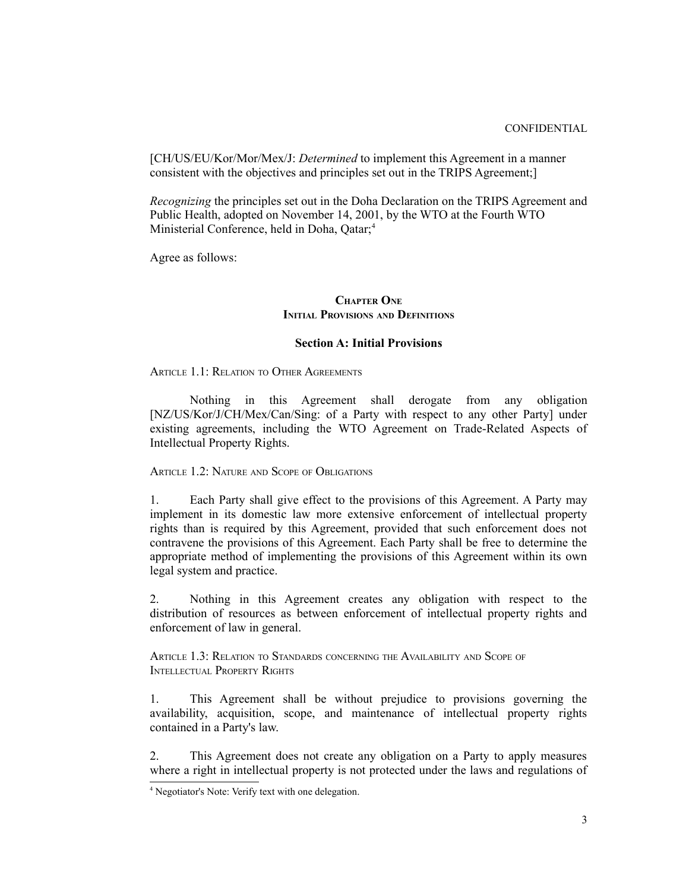[CH/US/EU/Kor/Mor/Mex/J: *Determined* to implement this Agreement in a manner consistent with the objectives and principles set out in the TRIPS Agreement;]

*Recognizing* the principles set out in the Doha Declaration on the TRIPS Agreement and Public Health, adopted on November 14, 2001, by the WTO at the Fourth WTO Ministerial Conference, held in Doha, Qatar;<sup>[4](#page-2-0)</sup>

Agree as follows:

## **CHAPTER ONE INITIAL PROVISIONS AND DEFINITIONS**

## **Section A: Initial Provisions**

ARTICLE 1.1: RELATION TO OTHER AGREEMENTS

Nothing in this Agreement shall derogate from any obligation [NZ/US/Kor/J/CH/Mex/Can/Sing: of a Party with respect to any other Party] under existing agreements, including the WTO Agreement on Trade-Related Aspects of Intellectual Property Rights.

ARTICLE 1.2: NATURE AND SCOPE OF OBLIGATIONS

1. Each Party shall give effect to the provisions of this Agreement. A Party may implement in its domestic law more extensive enforcement of intellectual property rights than is required by this Agreement, provided that such enforcement does not contravene the provisions of this Agreement. Each Party shall be free to determine the appropriate method of implementing the provisions of this Agreement within its own legal system and practice.

2. Nothing in this Agreement creates any obligation with respect to the distribution of resources as between enforcement of intellectual property rights and enforcement of law in general.

ARTICLE 1.3: RELATION TO STANDARDS CONCERNING THE AVAILABILITY AND SCOPE OF INTELLECTUAL PROPERTY RIGHTS

1. This Agreement shall be without prejudice to provisions governing the availability, acquisition, scope, and maintenance of intellectual property rights contained in a Party's law.

2. This Agreement does not create any obligation on a Party to apply measures where a right in intellectual property is not protected under the laws and regulations of

<span id="page-2-0"></span><sup>4</sup> Negotiator's Note: Verify text with one delegation.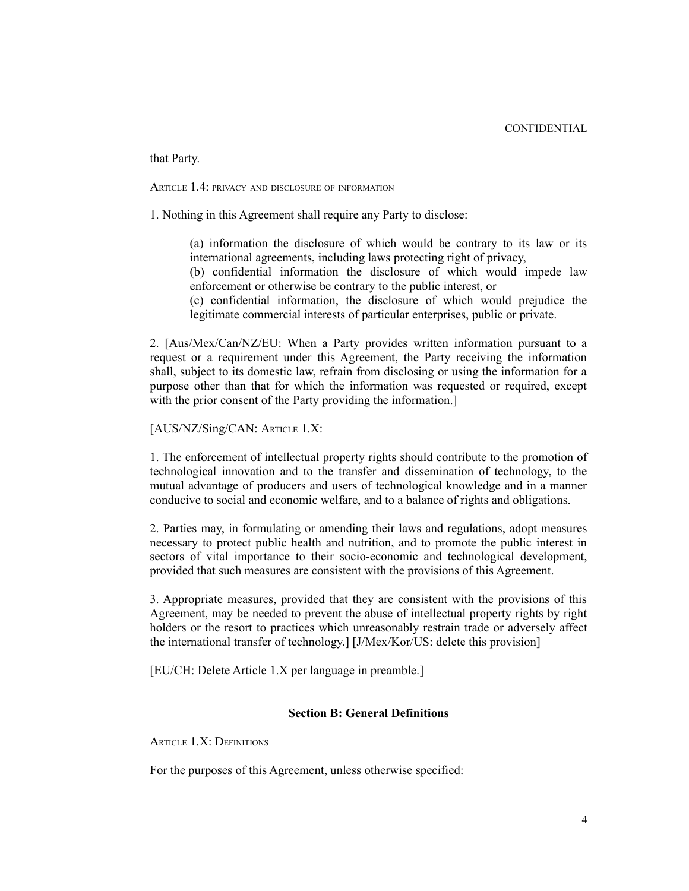that Party.

ARTICLE 1.4: PRIVACY AND DISCLOSURE OF INFORMATION

1. Nothing in this Agreement shall require any Party to disclose:

(a) information the disclosure of which would be contrary to its law or its international agreements, including laws protecting right of privacy,

(b) confidential information the disclosure of which would impede law enforcement or otherwise be contrary to the public interest, or

(c) confidential information, the disclosure of which would prejudice the legitimate commercial interests of particular enterprises, public or private.

2. [Aus/Mex/Can/NZ/EU: When a Party provides written information pursuant to a request or a requirement under this Agreement, the Party receiving the information shall, subject to its domestic law, refrain from disclosing or using the information for a purpose other than that for which the information was requested or required, except with the prior consent of the Party providing the information.

[AUS/NZ/Sing/CAN: ARTICLE 1.X:

1. The enforcement of intellectual property rights should contribute to the promotion of technological innovation and to the transfer and dissemination of technology, to the mutual advantage of producers and users of technological knowledge and in a manner conducive to social and economic welfare, and to a balance of rights and obligations.

2. Parties may, in formulating or amending their laws and regulations, adopt measures necessary to protect public health and nutrition, and to promote the public interest in sectors of vital importance to their socio-economic and technological development, provided that such measures are consistent with the provisions of this Agreement.

3. Appropriate measures, provided that they are consistent with the provisions of this Agreement, may be needed to prevent the abuse of intellectual property rights by right holders or the resort to practices which unreasonably restrain trade or adversely affect the international transfer of technology.] [J/Mex/Kor/US: delete this provision]

[EU/CH: Delete Article 1.X per language in preamble.]

## **Section B: General Definitions**

ARTICLE 1.X: DEFINITIONS

For the purposes of this Agreement, unless otherwise specified: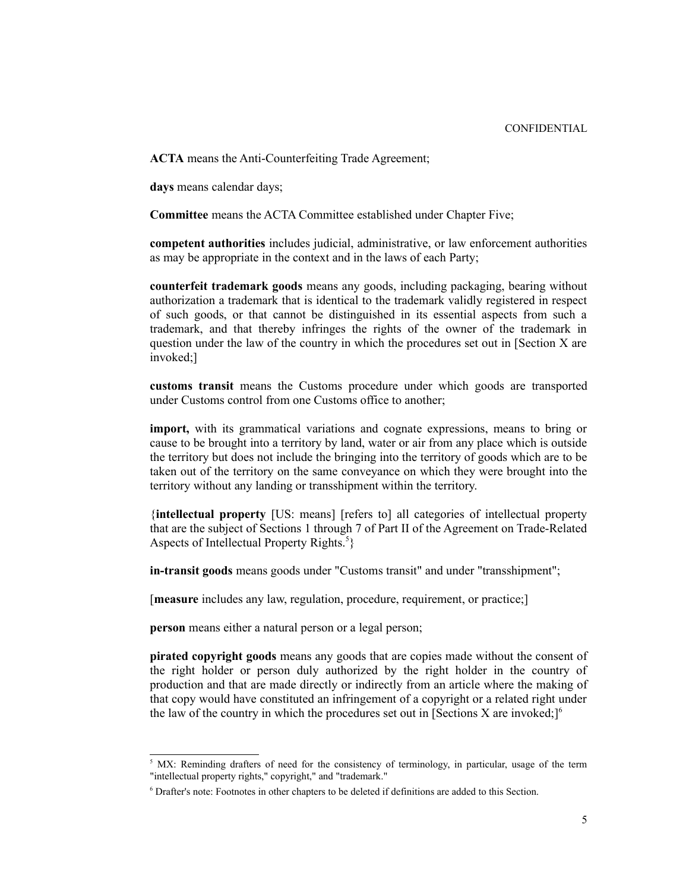CONFIDENTIAL

**ACTA** means the Anti-Counterfeiting Trade Agreement;

**days** means calendar days;

**Committee** means the ACTA Committee established under Chapter Five;

**competent authorities** includes judicial, administrative, or law enforcement authorities as may be appropriate in the context and in the laws of each Party;

**counterfeit trademark goods** means any goods, including packaging, bearing without authorization a trademark that is identical to the trademark validly registered in respect of such goods, or that cannot be distinguished in its essential aspects from such a trademark, and that thereby infringes the rights of the owner of the trademark in question under the law of the country in which the procedures set out in [Section X are invoked;]

**customs transit** means the Customs procedure under which goods are transported under Customs control from one Customs office to another;

**import,** with its grammatical variations and cognate expressions, means to bring or cause to be brought into a territory by land, water or air from any place which is outside the territory but does not include the bringing into the territory of goods which are to be taken out of the territory on the same conveyance on which they were brought into the territory without any landing or transshipment within the territory.

{**intellectual property** [US: means] [refers to] all categories of intellectual property that are the subject of Sections 1 through 7 of Part II of the Agreement on Trade-Related Aspects of Intellectual Property Rights.<sup>[5](#page-4-0)</sup>}

**in-transit goods** means goods under "Customs transit" and under "transshipment";

[**measure** includes any law, regulation, procedure, requirement, or practice;]

**person** means either a natural person or a legal person;

**pirated copyright goods** means any goods that are copies made without the consent of the right holder or person duly authorized by the right holder in the country of production and that are made directly or indirectly from an article where the making of that copy would have constituted an infringement of a copyright or a related right under the law of the country in which the procedures set out in [Sections  $X$  are invoked:]<sup>[6](#page-4-1)</sup>

<span id="page-4-0"></span> $5$  MX: Reminding drafters of need for the consistency of terminology, in particular, usage of the term "intellectual property rights," copyright," and "trademark."

<span id="page-4-1"></span><sup>&</sup>lt;sup>6</sup> Drafter's note: Footnotes in other chapters to be deleted if definitions are added to this Section.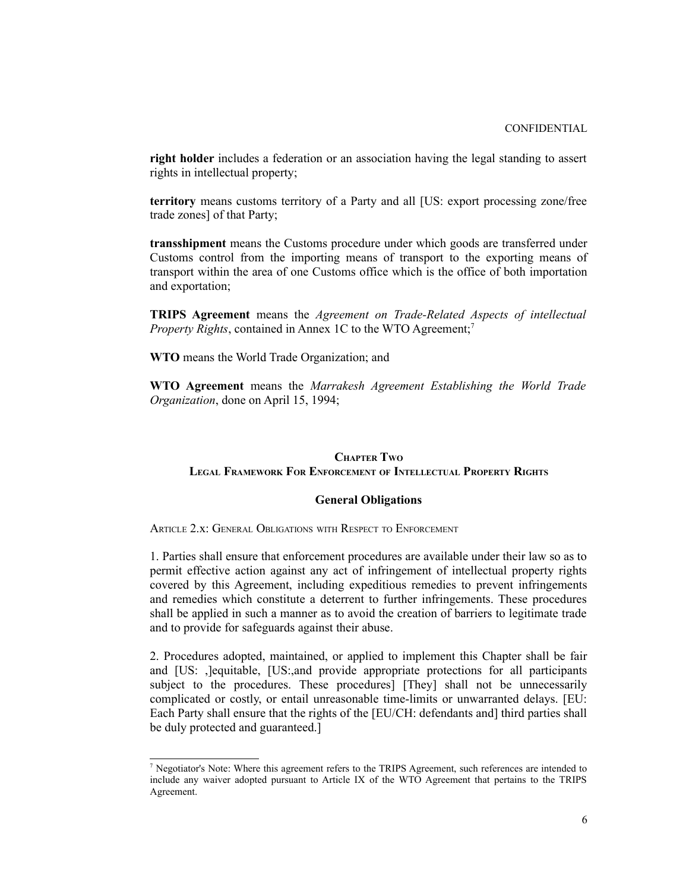**right holder** includes a federation or an association having the legal standing to assert rights in intellectual property;

**territory** means customs territory of a Party and all [US: export processing zone/free trade zones] of that Party;

**transshipment** means the Customs procedure under which goods are transferred under Customs control from the importing means of transport to the exporting means of transport within the area of one Customs office which is the office of both importation and exportation;

**TRIPS Agreement** means the *Agreement on Trade-Related Aspects of intellectual Property Rights*, contained in Annex 1C to the WTO Agreement;<sup>[7](#page-5-0)</sup>

**WTO** means the World Trade Organization; and

**WTO Agreement** means the *Marrakesh Agreement Establishing the World Trade Organization*, done on April 15, 1994;

## **CHAPTER TWO LEGAL FRAMEWORK FOR ENFORCEMENT OF INTELLECTUAL PROPERTY RIGHTS**

### **General Obligations**

ARTICLE 2 x<sup>'</sup> GENERAL OBLIGATIONS WITH RESPECT TO ENFORCEMENT

1. Parties shall ensure that enforcement procedures are available under their law so as to permit effective action against any act of infringement of intellectual property rights covered by this Agreement, including expeditious remedies to prevent infringements and remedies which constitute a deterrent to further infringements. These procedures shall be applied in such a manner as to avoid the creation of barriers to legitimate trade and to provide for safeguards against their abuse.

2. Procedures adopted, maintained, or applied to implement this Chapter shall be fair and [US: ,]equitable, [US:,and provide appropriate protections for all participants subject to the procedures. These procedures] [They] shall not be unnecessarily complicated or costly, or entail unreasonable time-limits or unwarranted delays. [EU: Each Party shall ensure that the rights of the [EU/CH: defendants and] third parties shall be duly protected and guaranteed.]

<span id="page-5-0"></span><sup>&</sup>lt;sup>7</sup> Negotiator's Note: Where this agreement refers to the TRIPS Agreement, such references are intended to include any waiver adopted pursuant to Article IX of the WTO Agreement that pertains to the TRIPS Agreement.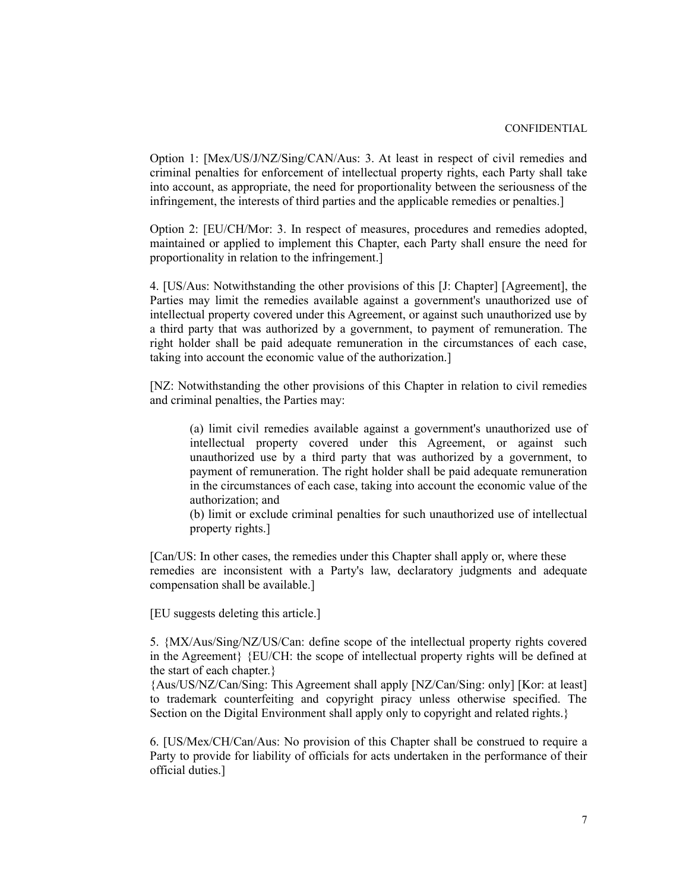Option 1: [Mex/US/J/NZ/Sing/CAN/Aus: 3. At least in respect of civil remedies and criminal penalties for enforcement of intellectual property rights, each Party shall take into account, as appropriate, the need for proportionality between the seriousness of the infringement, the interests of third parties and the applicable remedies or penalties.]

Option 2: [EU/CH/Mor: 3. In respect of measures, procedures and remedies adopted, maintained or applied to implement this Chapter, each Party shall ensure the need for proportionality in relation to the infringement.]

4. [US/Aus: Notwithstanding the other provisions of this [J: Chapter] [Agreement], the Parties may limit the remedies available against a government's unauthorized use of intellectual property covered under this Agreement, or against such unauthorized use by a third party that was authorized by a government, to payment of remuneration. The right holder shall be paid adequate remuneration in the circumstances of each case, taking into account the economic value of the authorization.]

[NZ: Notwithstanding the other provisions of this Chapter in relation to civil remedies and criminal penalties, the Parties may:

(a) limit civil remedies available against a government's unauthorized use of intellectual property covered under this Agreement, or against such unauthorized use by a third party that was authorized by a government, to payment of remuneration. The right holder shall be paid adequate remuneration in the circumstances of each case, taking into account the economic value of the authorization; and

(b) limit or exclude criminal penalties for such unauthorized use of intellectual property rights.]

[Can/US: In other cases, the remedies under this Chapter shall apply or, where these remedies are inconsistent with a Party's law, declaratory judgments and adequate compensation shall be available.]

[EU suggests deleting this article.]

5. {MX/Aus/Sing/NZ/US/Can: define scope of the intellectual property rights covered in the Agreement} {EU/CH: the scope of intellectual property rights will be defined at the start of each chapter.}

{Aus/US/NZ/Can/Sing: This Agreement shall apply [NZ/Can/Sing: only] [Kor: at least] to trademark counterfeiting and copyright piracy unless otherwise specified. The Section on the Digital Environment shall apply only to copyright and related rights.

6. [US/Mex/CH/Can/Aus: No provision of this Chapter shall be construed to require a Party to provide for liability of officials for acts undertaken in the performance of their official duties.]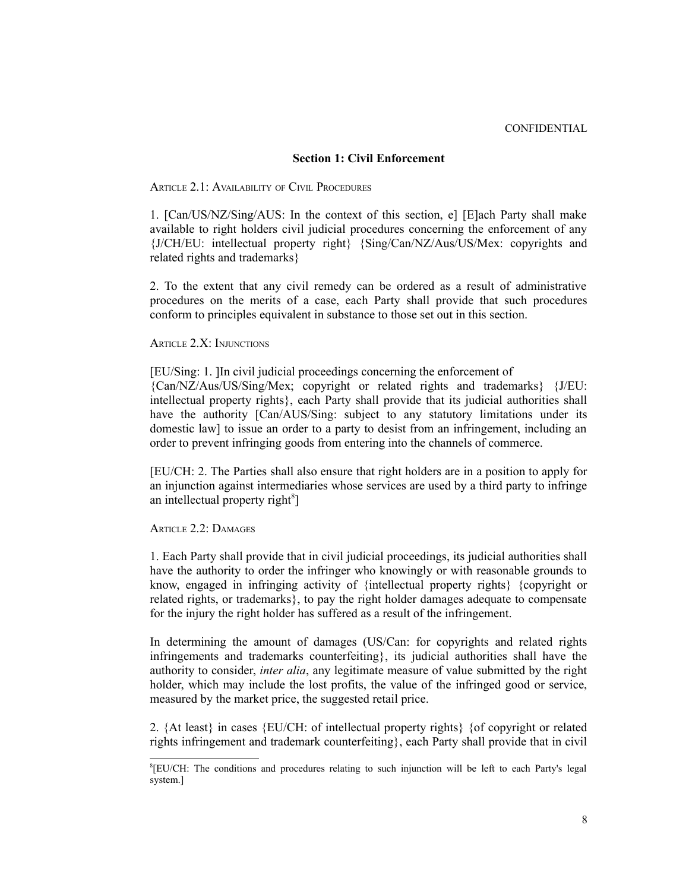#### **Section 1: Civil Enforcement**

ARTICLE 2.1: AVAILABILITY OF CIVIL PROCEDURES

1. [Can/US/NZ/Sing/AUS: In the context of this section, e] [E]ach Party shall make available to right holders civil judicial procedures concerning the enforcement of any {J/CH/EU: intellectual property right} {Sing/Can/NZ/Aus/US/Mex: copyrights and related rights and trademarks}

2. To the extent that any civil remedy can be ordered as a result of administrative procedures on the merits of a case, each Party shall provide that such procedures conform to principles equivalent in substance to those set out in this section.

ARTICLE 2.X: INJUNCTIONS

[EU/Sing: 1. ]In civil judicial proceedings concerning the enforcement of {Can/NZ/Aus/US/Sing/Mex; copyright or related rights and trademarks} {J/EU: intellectual property rights}, each Party shall provide that its judicial authorities shall have the authority [Can/AUS/Sing: subject to any statutory limitations under its domestic law] to issue an order to a party to desist from an infringement, including an order to prevent infringing goods from entering into the channels of commerce.

[EU/CH: 2. The Parties shall also ensure that right holders are in a position to apply for an injunction against intermediaries whose services are used by a third party to infringe an intellectual property right<sup>[8](#page-7-0)</sup>]

ARTICLE 2.2<sup>-</sup> DAMAGES

1. Each Party shall provide that in civil judicial proceedings, its judicial authorities shall have the authority to order the infringer who knowingly or with reasonable grounds to know, engaged in infringing activity of {intellectual property rights} {copyright or related rights, or trademarks}, to pay the right holder damages adequate to compensate for the injury the right holder has suffered as a result of the infringement.

In determining the amount of damages (US/Can: for copyrights and related rights infringements and trademarks counterfeiting}, its judicial authorities shall have the authority to consider, *inter alia*, any legitimate measure of value submitted by the right holder, which may include the lost profits, the value of the infringed good or service, measured by the market price, the suggested retail price.

2.  $\{At least\}$  in cases  $\{EU/CH:$  of intellectual property rights  $\{ of copyright or related$ rights infringement and trademark counterfeiting}, each Party shall provide that in civil

<span id="page-7-0"></span><sup>&</sup>lt;sup>8</sup>[EU/CH: The conditions and procedures relating to such injunction will be left to each Party's legal system.]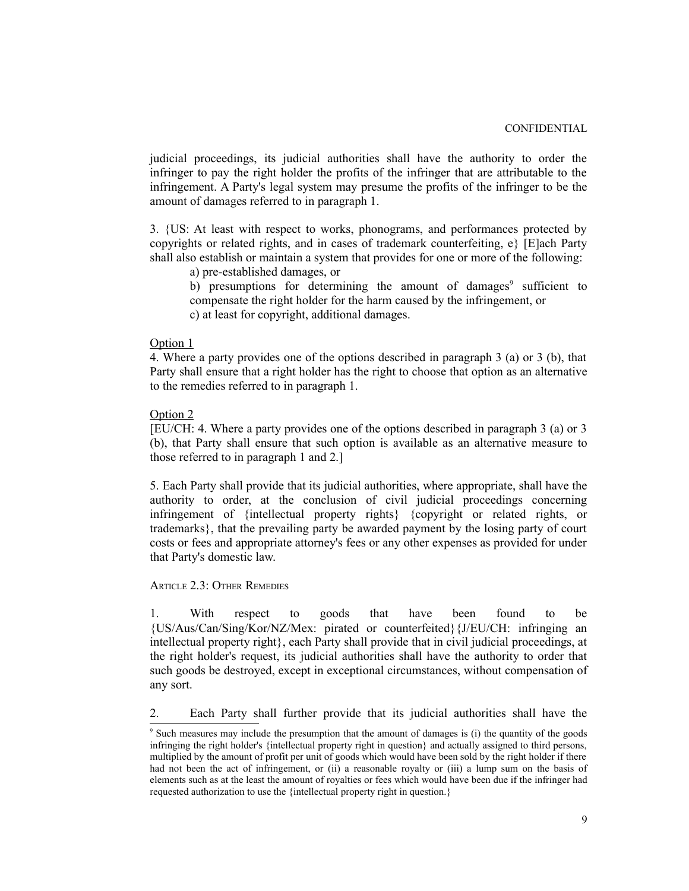judicial proceedings, its judicial authorities shall have the authority to order the infringer to pay the right holder the profits of the infringer that are attributable to the infringement. A Party's legal system may presume the profits of the infringer to be the amount of damages referred to in paragraph 1.

3. {US: At least with respect to works, phonograms, and performances protected by copyrights or related rights, and in cases of trademark counterfeiting, e} [E]ach Party shall also establish or maintain a system that provides for one or more of the following:

a) pre-established damages, or

b) presumptions for determining the amount of damages<sup>[9](#page-8-0)</sup> sufficient to compensate the right holder for the harm caused by the infringement, or c) at least for copyright, additional damages.

### Option 1

4. Where a party provides one of the options described in paragraph 3 (a) or 3 (b), that Party shall ensure that a right holder has the right to choose that option as an alternative to the remedies referred to in paragraph 1.

# Option 2

[EU/CH: 4. Where a party provides one of the options described in paragraph 3 (a) or 3 (b), that Party shall ensure that such option is available as an alternative measure to those referred to in paragraph 1 and 2.]

5. Each Party shall provide that its judicial authorities, where appropriate, shall have the authority to order, at the conclusion of civil judicial proceedings concerning infringement of {intellectual property rights} {copyright or related rights, or trademarks}, that the prevailing party be awarded payment by the losing party of court costs or fees and appropriate attorney's fees or any other expenses as provided for under that Party's domestic law.

## ARTICLE 2.3: OTHER REMEDIES

1. With respect to goods that have been found to be {US/Aus/Can/Sing/Kor/NZ/Mex: pirated or counterfeited}{J/EU/CH: infringing an intellectual property right}, each Party shall provide that in civil judicial proceedings, at the right holder's request, its judicial authorities shall have the authority to order that such goods be destroyed, except in exceptional circumstances, without compensation of any sort.

2. Each Party shall further provide that its judicial authorities shall have the

<span id="page-8-0"></span><sup>9</sup> Such measures may include the presumption that the amount of damages is (i) the quantity of the goods infringing the right holder's {intellectual property right in question} and actually assigned to third persons, multiplied by the amount of profit per unit of goods which would have been sold by the right holder if there had not been the act of infringement, or (ii) a reasonable royalty or (iii) a lump sum on the basis of elements such as at the least the amount of royalties or fees which would have been due if the infringer had requested authorization to use the {intellectual property right in question.}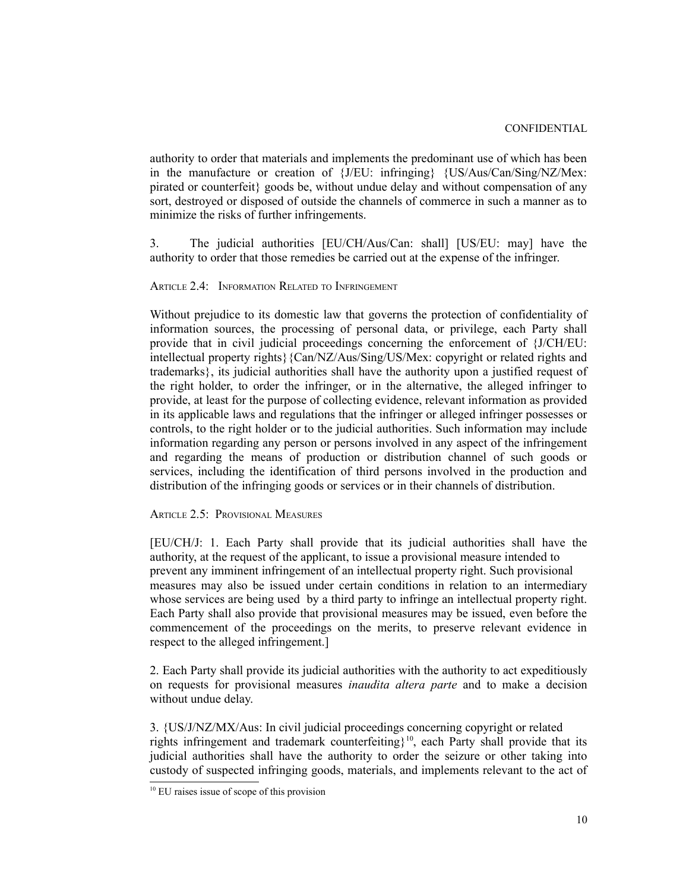authority to order that materials and implements the predominant use of which has been in the manufacture or creation of {J/EU: infringing} {US/Aus/Can/Sing/NZ/Mex: pirated or counterfeit} goods be, without undue delay and without compensation of any sort, destroyed or disposed of outside the channels of commerce in such a manner as to minimize the risks of further infringements.

3. The judicial authorities [EU/CH/Aus/Can: shall] [US/EU: may] have the authority to order that those remedies be carried out at the expense of the infringer.

## ARTICLE 2.4: INFORMATION RELATED TO INFRINGEMENT

Without prejudice to its domestic law that governs the protection of confidentiality of information sources, the processing of personal data, or privilege, each Party shall provide that in civil judicial proceedings concerning the enforcement of {J/CH/EU: intellectual property rights}{Can/NZ/Aus/Sing/US/Mex: copyright or related rights and trademarks}, its judicial authorities shall have the authority upon a justified request of the right holder, to order the infringer, or in the alternative, the alleged infringer to provide, at least for the purpose of collecting evidence, relevant information as provided in its applicable laws and regulations that the infringer or alleged infringer possesses or controls, to the right holder or to the judicial authorities. Such information may include information regarding any person or persons involved in any aspect of the infringement and regarding the means of production or distribution channel of such goods or services, including the identification of third persons involved in the production and distribution of the infringing goods or services or in their channels of distribution.

## ARTICLE 2.5: PROVISIONAL MEASURES

[EU/CH/J: 1. Each Party shall provide that its judicial authorities shall have the authority, at the request of the applicant, to issue a provisional measure intended to prevent any imminent infringement of an intellectual property right. Such provisional measures may also be issued under certain conditions in relation to an intermediary whose services are being used by a third party to infringe an intellectual property right. Each Party shall also provide that provisional measures may be issued, even before the commencement of the proceedings on the merits, to preserve relevant evidence in respect to the alleged infringement.]

2. Each Party shall provide its judicial authorities with the authority to act expeditiously on requests for provisional measures *inaudita altera parte* and to make a decision without undue delay.

3. {US/J/NZ/MX/Aus: In civil judicial proceedings concerning copyright or related rights infringement and trademark counterfeiting}<sup>[10](#page-9-0)</sup>, each Party shall provide that its judicial authorities shall have the authority to order the seizure or other taking into custody of suspected infringing goods, materials, and implements relevant to the act of

<span id="page-9-0"></span><sup>&</sup>lt;sup>10</sup> EU raises issue of scope of this provision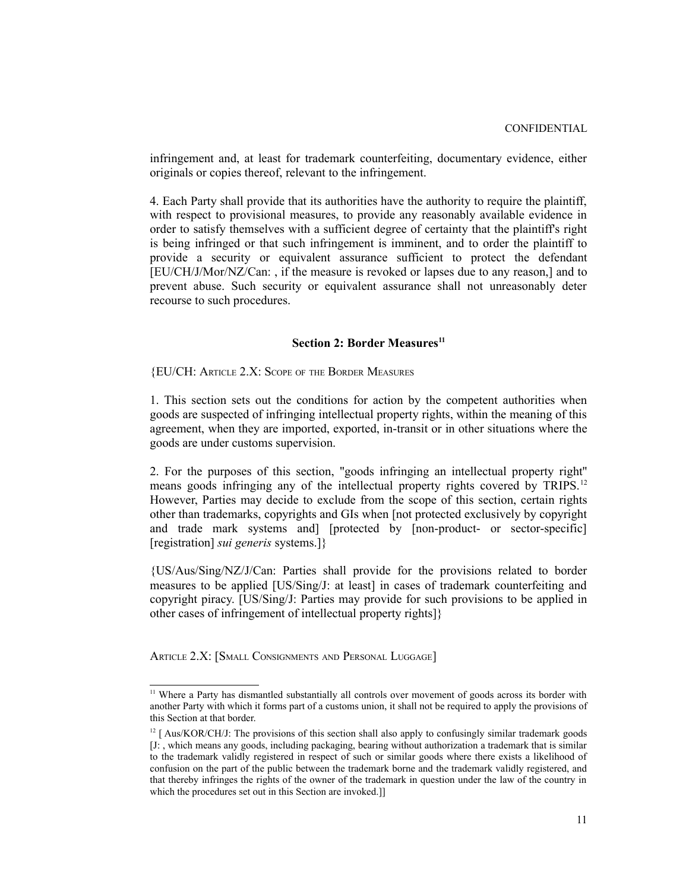infringement and, at least for trademark counterfeiting, documentary evidence, either originals or copies thereof, relevant to the infringement.

4. Each Party shall provide that its authorities have the authority to require the plaintiff, with respect to provisional measures, to provide any reasonably available evidence in order to satisfy themselves with a sufficient degree of certainty that the plaintiff's right is being infringed or that such infringement is imminent, and to order the plaintiff to provide a security or equivalent assurance sufficient to protect the defendant [EU/CH/J/Mor/NZ/Can: , if the measure is revoked or lapses due to any reason,] and to prevent abuse. Such security or equivalent assurance shall not unreasonably deter recourse to such procedures.

# **Section 2: Border Measures[11](#page-10-0)**

{EU/CH: ARTICLE 2.X: SCOPE OF THE BORDER MEASURES

1. This section sets out the conditions for action by the competent authorities when goods are suspected of infringing intellectual property rights, within the meaning of this agreement, when they are imported, exported, in-transit or in other situations where the goods are under customs supervision.

2. For the purposes of this section, "goods infringing an intellectual property right'' means goods infringing any of the intellectual property rights covered by TRIPS.<sup>[12](#page-10-1)</sup> However, Parties may decide to exclude from the scope of this section, certain rights other than trademarks, copyrights and GIs when [not protected exclusively by copyright and trade mark systems and] [protected by [non-product- or sector-specific] [registration] *sui generis* systems.]}

{US/Aus/Sing/NZ/J/Can: Parties shall provide for the provisions related to border measures to be applied [US/Sing/J: at least] in cases of trademark counterfeiting and copyright piracy. [US/Sing/J: Parties may provide for such provisions to be applied in other cases of infringement of intellectual property rights]}

ARTICLE 2.X: [SMALL CONSIGNMENTS AND PERSONAL LUGGAGE]

<span id="page-10-0"></span><sup>&</sup>lt;sup>11</sup> Where a Party has dismantled substantially all controls over movement of goods across its border with another Party with which it forms part of a customs union, it shall not be required to apply the provisions of this Section at that border.

<span id="page-10-1"></span> $12 \int Aus/KOR/CH/J$ : The provisions of this section shall also apply to confusingly similar trademark goods [J: , which means any goods, including packaging, bearing without authorization a trademark that is similar to the trademark validly registered in respect of such or similar goods where there exists a likelihood of confusion on the part of the public between the trademark borne and the trademark validly registered, and that thereby infringes the rights of the owner of the trademark in question under the law of the country in which the procedures set out in this Section are invoked.]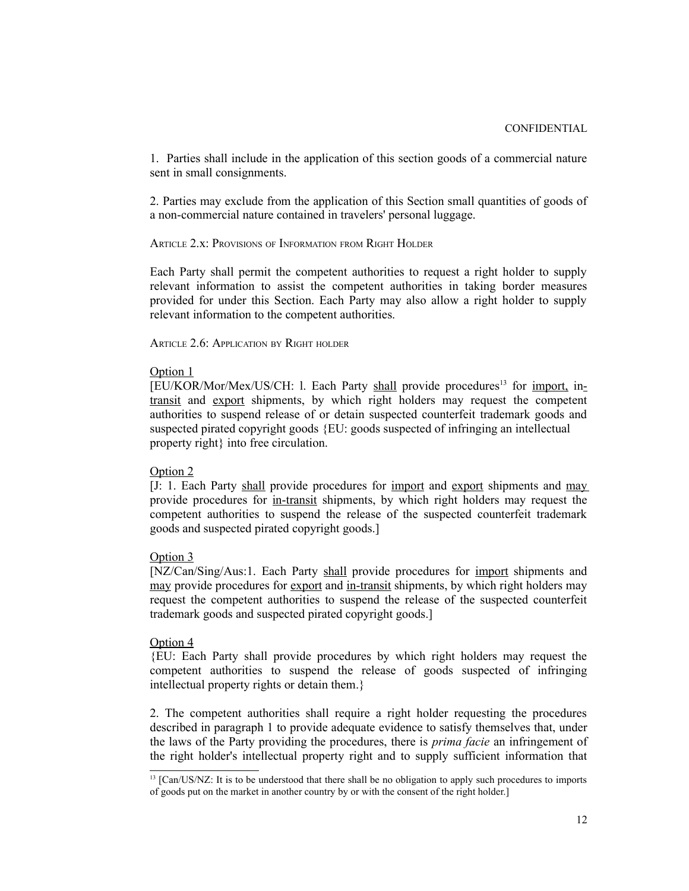1. Parties shall include in the application of this section goods of a commercial nature sent in small consignments.

2. Parties may exclude from the application of this Section small quantities of goods of a non-commercial nature contained in travelers' personal luggage.

ARTICLE 2.x: PROVISIONS OF INFORMATION FROM RIGHT HOLDER

Each Party shall permit the competent authorities to request a right holder to supply relevant information to assist the competent authorities in taking border measures provided for under this Section. Each Party may also allow a right holder to supply relevant information to the competent authorities.

ARTICLE 2.6: APPLICATION BY RIGHT HOLDER

#### Option 1

 $[EU/KOR/Mor/Mex/US/CH: 1.$  Each Party shall provide procedures<sup>[13](#page-11-0)</sup> for import, intransit and export shipments, by which right holders may request the competent authorities to suspend release of or detain suspected counterfeit trademark goods and suspected pirated copyright goods {EU: goods suspected of infringing an intellectual property right} into free circulation.

## Option 2

[J: 1. Each Party shall provide procedures for import and export shipments and may provide procedures for in-transit shipments, by which right holders may request the competent authorities to suspend the release of the suspected counterfeit trademark goods and suspected pirated copyright goods.]

#### Option 3

[NZ/Can/Sing/Aus:1. Each Party shall provide procedures for import shipments and may provide procedures for <u>export</u> and in-transit shipments, by which right holders may request the competent authorities to suspend the release of the suspected counterfeit trademark goods and suspected pirated copyright goods.]

## Option 4

{EU: Each Party shall provide procedures by which right holders may request the competent authorities to suspend the release of goods suspected of infringing intellectual property rights or detain them.}

2. The competent authorities shall require a right holder requesting the procedures described in paragraph 1 to provide adequate evidence to satisfy themselves that, under the laws of the Party providing the procedures, there is *prima facie* an infringement of the right holder's intellectual property right and to supply sufficient information that

<span id="page-11-0"></span><sup>&</sup>lt;sup>13</sup> [Can/US/NZ: It is to be understood that there shall be no obligation to apply such procedures to imports of goods put on the market in another country by or with the consent of the right holder.]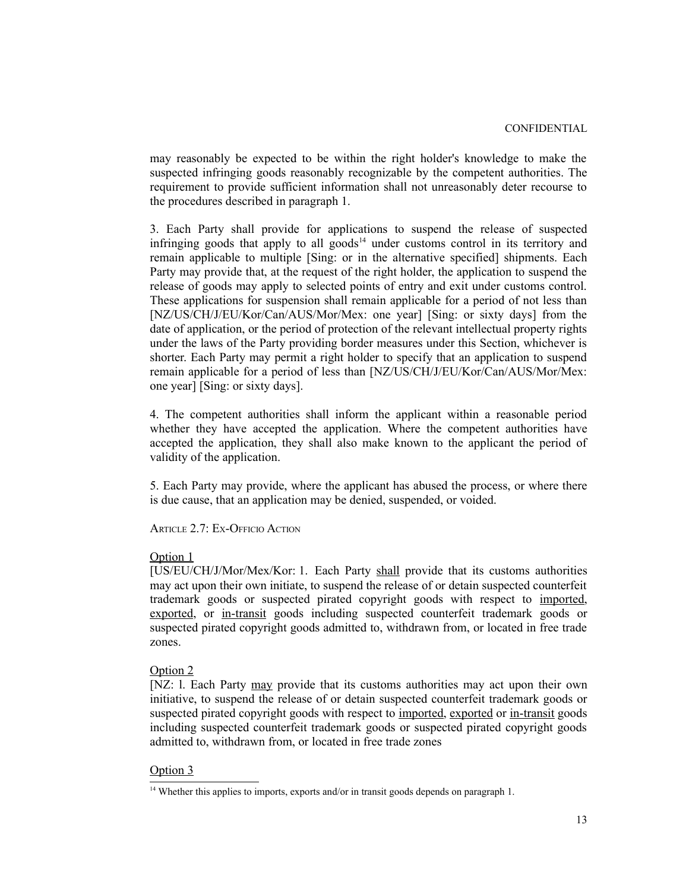may reasonably be expected to be within the right holder's knowledge to make the suspected infringing goods reasonably recognizable by the competent authorities. The requirement to provide sufficient information shall not unreasonably deter recourse to the procedures described in paragraph 1.

3. Each Party shall provide for applications to suspend the release of suspected infringing goods that apply to all goods<sup>[14](#page-12-0)</sup> under customs control in its territory and remain applicable to multiple [Sing: or in the alternative specified] shipments. Each Party may provide that, at the request of the right holder, the application to suspend the release of goods may apply to selected points of entry and exit under customs control. These applications for suspension shall remain applicable for a period of not less than [NZ/US/CH/J/EU/Kor/Can/AUS/Mor/Mex: one year] [Sing: or sixty days] from the date of application, or the period of protection of the relevant intellectual property rights under the laws of the Party providing border measures under this Section, whichever is shorter. Each Party may permit a right holder to specify that an application to suspend remain applicable for a period of less than [NZ/US/CH/J/EU/Kor/Can/AUS/Mor/Mex: one year] [Sing: or sixty days].

4. The competent authorities shall inform the applicant within a reasonable period whether they have accepted the application. Where the competent authorities have accepted the application, they shall also make known to the applicant the period of validity of the application.

5. Each Party may provide, where the applicant has abused the process, or where there is due cause, that an application may be denied, suspended, or voided.

ARTICLE 2.7: EX-OFFICIO ACTION

#### Option 1

[US/EU/CH/J/Mor/Mex/Kor: 1. Each Party shall provide that its customs authorities may act upon their own initiate, to suspend the release of or detain suspected counterfeit trademark goods or suspected pirated copyright goods with respect to imported, exported, or in-transit goods including suspected counterfeit trademark goods or suspected pirated copyright goods admitted to, withdrawn from, or located in free trade zones.

#### Option 2

[NZ: 1. Each Party may provide that its customs authorities may act upon their own initiative, to suspend the release of or detain suspected counterfeit trademark goods or suspected pirated copyright goods with respect to imported, exported or in-transit goods including suspected counterfeit trademark goods or suspected pirated copyright goods admitted to, withdrawn from, or located in free trade zones

#### Option 3

<span id="page-12-0"></span><sup>&</sup>lt;sup>14</sup> Whether this applies to imports, exports and/or in transit goods depends on paragraph 1.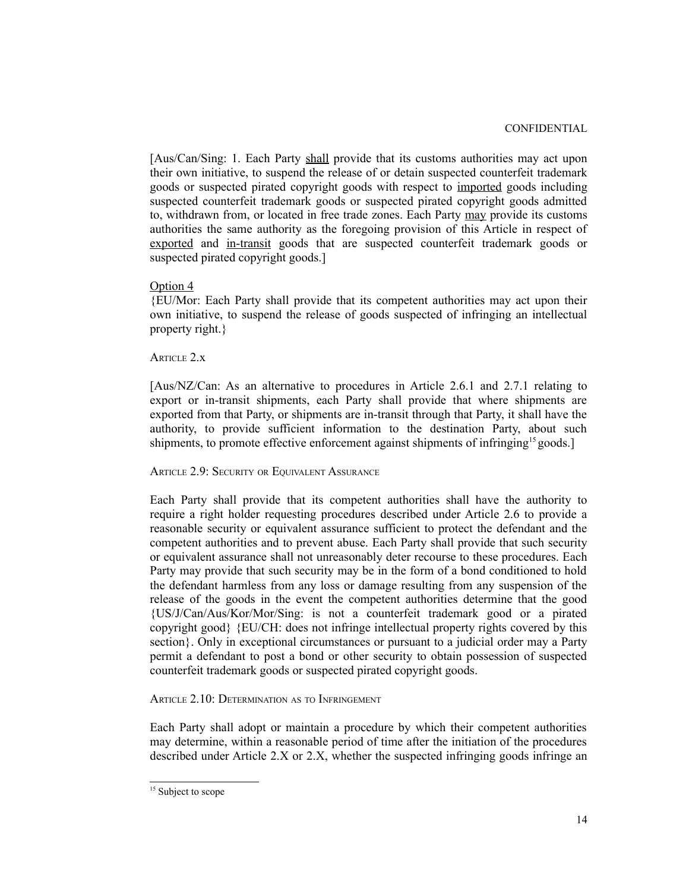[Aus/Can/Sing: 1. Each Party shall provide that its customs authorities may act upon their own initiative, to suspend the release of or detain suspected counterfeit trademark goods or suspected pirated copyright goods with respect to imported goods including suspected counterfeit trademark goods or suspected pirated copyright goods admitted to, withdrawn from, or located in free trade zones. Each Party may provide its customs authorities the same authority as the foregoing provision of this Article in respect of exported and in-transit goods that are suspected counterfeit trademark goods or suspected pirated copyright goods.]

#### Option 4

{EU/Mor: Each Party shall provide that its competent authorities may act upon their own initiative, to suspend the release of goods suspected of infringing an intellectual property right.}

### ARTICLE 2.x

[Aus/NZ/Can: As an alternative to procedures in Article 2.6.1 and 2.7.1 relating to export or in-transit shipments, each Party shall provide that where shipments are exported from that Party, or shipments are in-transit through that Party, it shall have the authority, to provide sufficient information to the destination Party, about such shipments, to promote effective enforcement against shipments of infringing<sup>[15](#page-13-0)</sup> goods.]

## ARTICLE 2.9: SECURITY OR EQUIVALENT ASSURANCE

Each Party shall provide that its competent authorities shall have the authority to require a right holder requesting procedures described under Article 2.6 to provide a reasonable security or equivalent assurance sufficient to protect the defendant and the competent authorities and to prevent abuse. Each Party shall provide that such security or equivalent assurance shall not unreasonably deter recourse to these procedures. Each Party may provide that such security may be in the form of a bond conditioned to hold the defendant harmless from any loss or damage resulting from any suspension of the release of the goods in the event the competent authorities determine that the good {US/J/Can/Aus/Kor/Mor/Sing: is not a counterfeit trademark good or a pirated copyright good} {EU/CH: does not infringe intellectual property rights covered by this section}. Only in exceptional circumstances or pursuant to a judicial order may a Party permit a defendant to post a bond or other security to obtain possession of suspected counterfeit trademark goods or suspected pirated copyright goods.

#### ARTICLE 2.10: DETERMINATION AS TO INFRINGEMENT

Each Party shall adopt or maintain a procedure by which their competent authorities may determine, within a reasonable period of time after the initiation of the procedures described under Article 2.X or 2.X, whether the suspected infringing goods infringe an

<span id="page-13-0"></span><sup>&</sup>lt;sup>15</sup> Subject to scope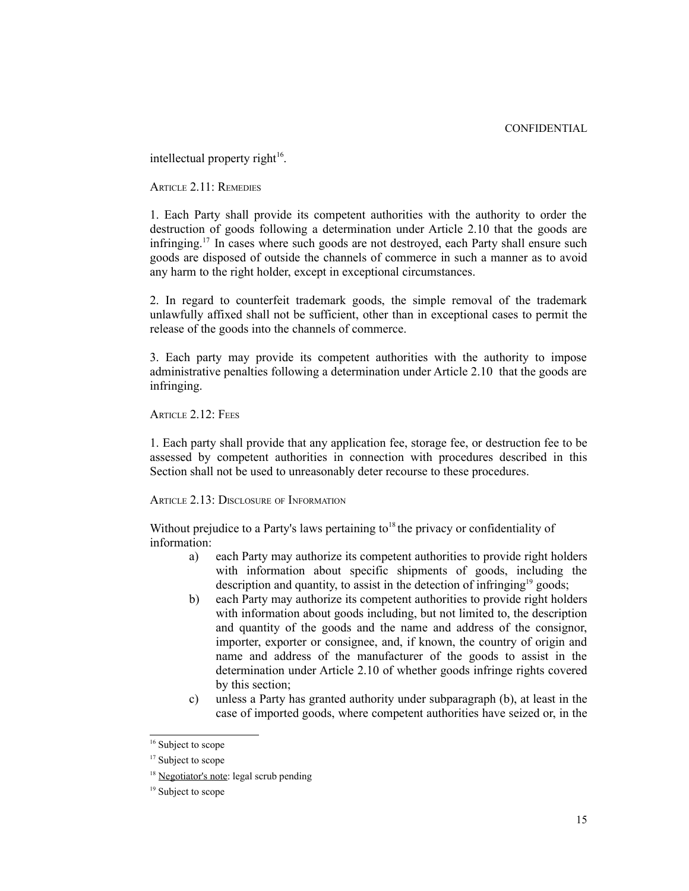intellectual property right $16$ .

ARTICLE 2.11: REMEDIES

1. Each Party shall provide its competent authorities with the authority to order the destruction of goods following a determination under Article 2.10 that the goods are infringing.<sup>17</sup> In cases where such goods are not destroyed, each Party shall ensure such goods are disposed of outside the channels of commerce in such a manner as to avoid any harm to the right holder, except in exceptional circumstances.

2. In regard to counterfeit trademark goods, the simple removal of the trademark unlawfully affixed shall not be sufficient, other than in exceptional cases to permit the release of the goods into the channels of commerce.

3. Each party may provide its competent authorities with the authority to impose administrative penalties following a determination under Article 2.10 that the goods are infringing.

ARTICLE 2.12: FEES

1. Each party shall provide that any application fee, storage fee, or destruction fee to be assessed by competent authorities in connection with procedures described in this Section shall not be used to unreasonably deter recourse to these procedures.

ARTICLE 2.13: DISCLOSURE OF INFORMATION

Without prejudice to a Party's laws pertaining to  $18$  the privacy or confidentiality of information:

- a) each Party may authorize its competent authorities to provide right holders with information about specific shipments of goods, including the description and quantity, to assist in the detection of infringing<sup>[19](#page-14-3)</sup> goods;
- b) each Party may authorize its competent authorities to provide right holders with information about goods including, but not limited to, the description and quantity of the goods and the name and address of the consignor, importer, exporter or consignee, and, if known, the country of origin and name and address of the manufacturer of the goods to assist in the determination under Article 2.10 of whether goods infringe rights covered by this section;
- c) unless a Party has granted authority under subparagraph (b), at least in the case of imported goods, where competent authorities have seized or, in the

<span id="page-14-0"></span><sup>&</sup>lt;sup>16</sup> Subject to scope

<span id="page-14-1"></span><sup>&</sup>lt;sup>17</sup> Subject to scope

<span id="page-14-2"></span><sup>&</sup>lt;sup>18</sup> Negotiator's note: legal scrub pending

<span id="page-14-3"></span><sup>&</sup>lt;sup>19</sup> Subject to scope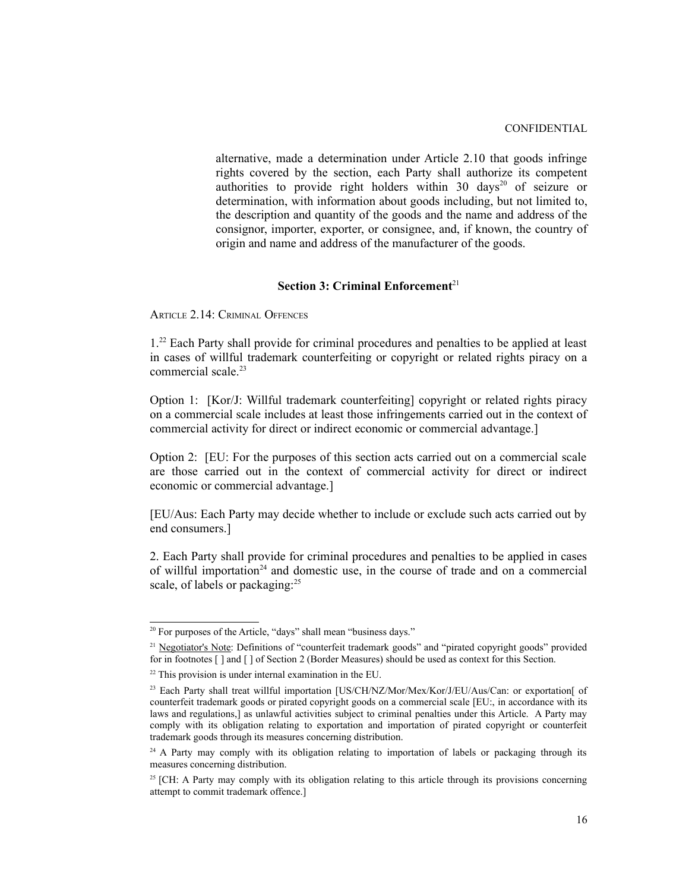alternative, made a determination under Article 2.10 that goods infringe rights covered by the section, each Party shall authorize its competent authorities to provide right holders within 30 days<sup>[20](#page-15-0)</sup> of seizure or determination, with information about goods including, but not limited to, the description and quantity of the goods and the name and address of the consignor, importer, exporter, or consignee, and, if known, the country of origin and name and address of the manufacturer of the goods.

## **Section 3: Criminal Enforcement**<sup>[21](#page-15-1)</sup>

ARTICLE 2.14: CRIMINAL OFFENCES

1.[22](#page-15-2) Each Party shall provide for criminal procedures and penalties to be applied at least in cases of willful trademark counterfeiting or copyright or related rights piracy on a commercial scale.<sup>[23](#page-15-3)</sup>

Option 1: [Kor/J: Willful trademark counterfeiting] copyright or related rights piracy on a commercial scale includes at least those infringements carried out in the context of commercial activity for direct or indirect economic or commercial advantage.]

Option 2: [EU: For the purposes of this section acts carried out on a commercial scale are those carried out in the context of commercial activity for direct or indirect economic or commercial advantage.]

[EU/Aus: Each Party may decide whether to include or exclude such acts carried out by end consumers.]

2. Each Party shall provide for criminal procedures and penalties to be applied in cases of willful importation<sup>[24](#page-15-4)</sup> and domestic use, in the course of trade and on a commercial scale, of labels or packaging:<sup>[25](#page-15-5)</sup>

<span id="page-15-0"></span><sup>&</sup>lt;sup>20</sup> For purposes of the Article, "days" shall mean "business days."

<span id="page-15-1"></span><sup>&</sup>lt;sup>21</sup> Negotiator's Note: Definitions of "counterfeit trademark goods" and "pirated copyright goods" provided for in footnotes [ ] and [ ] of Section 2 (Border Measures) should be used as context for this Section.

<span id="page-15-2"></span><sup>22</sup> This provision is under internal examination in the EU.

<span id="page-15-3"></span><sup>&</sup>lt;sup>23</sup> Each Party shall treat willful importation [US/CH/NZ/Mor/Mex/Kor/J/EU/Aus/Can: or exportation of counterfeit trademark goods or pirated copyright goods on a commercial scale [EU:, in accordance with its laws and regulations,] as unlawful activities subject to criminal penalties under this Article. A Party may comply with its obligation relating to exportation and importation of pirated copyright or counterfeit trademark goods through its measures concerning distribution.

<span id="page-15-4"></span> $24$  A Party may comply with its obligation relating to importation of labels or packaging through its measures concerning distribution.

<span id="page-15-5"></span><sup>&</sup>lt;sup>25</sup> [CH: A Party may comply with its obligation relating to this article through its provisions concerning attempt to commit trademark offence.]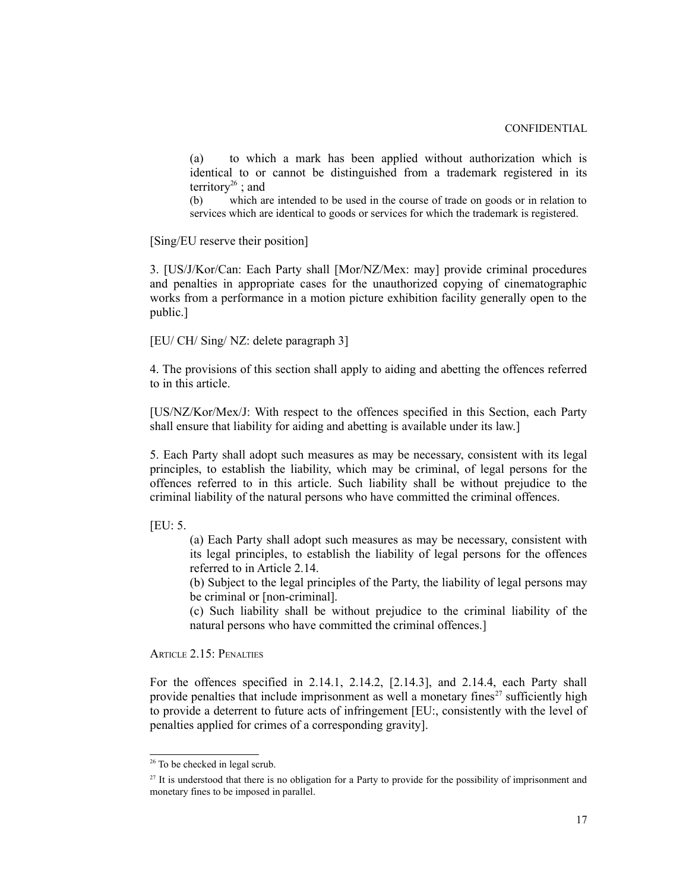(a) to which a mark has been applied without authorization which is identical to or cannot be distinguished from a trademark registered in its territory<sup>[26](#page-16-0)</sup>; and

(b) which are intended to be used in the course of trade on goods or in relation to services which are identical to goods or services for which the trademark is registered.

[Sing/EU reserve their position]

3. [US/J/Kor/Can: Each Party shall [Mor/NZ/Mex: may] provide criminal procedures and penalties in appropriate cases for the unauthorized copying of cinematographic works from a performance in a motion picture exhibition facility generally open to the public.]

[EU/ CH/ Sing/ NZ: delete paragraph 3]

4. The provisions of this section shall apply to aiding and abetting the offences referred to in this article.

[US/NZ/Kor/Mex/J: With respect to the offences specified in this Section, each Party shall ensure that liability for aiding and abetting is available under its law.]

5. Each Party shall adopt such measures as may be necessary, consistent with its legal principles, to establish the liability, which may be criminal, of legal persons for the offences referred to in this article. Such liability shall be without prejudice to the criminal liability of the natural persons who have committed the criminal offences.

[EU: 5.

(a) Each Party shall adopt such measures as may be necessary, consistent with its legal principles, to establish the liability of legal persons for the offences referred to in Article 2.14.

(b) Subject to the legal principles of the Party, the liability of legal persons may be criminal or [non-criminal].

(c) Such liability shall be without prejudice to the criminal liability of the natural persons who have committed the criminal offences.]

ARTICLE 2.15: PENALTIES

For the offences specified in 2.14.1, 2.14.2, [2.14.3], and 2.14.4, each Party shall provide penalties that include imprisonment as well a monetary fines<sup> $27$ </sup> sufficiently high to provide a deterrent to future acts of infringement [EU:, consistently with the level of penalties applied for crimes of a corresponding gravity].

<span id="page-16-0"></span><sup>&</sup>lt;sup>26</sup> To be checked in legal scrub.

<span id="page-16-1"></span><sup>&</sup>lt;sup>27</sup> It is understood that there is no obligation for a Party to provide for the possibility of imprisonment and monetary fines to be imposed in parallel.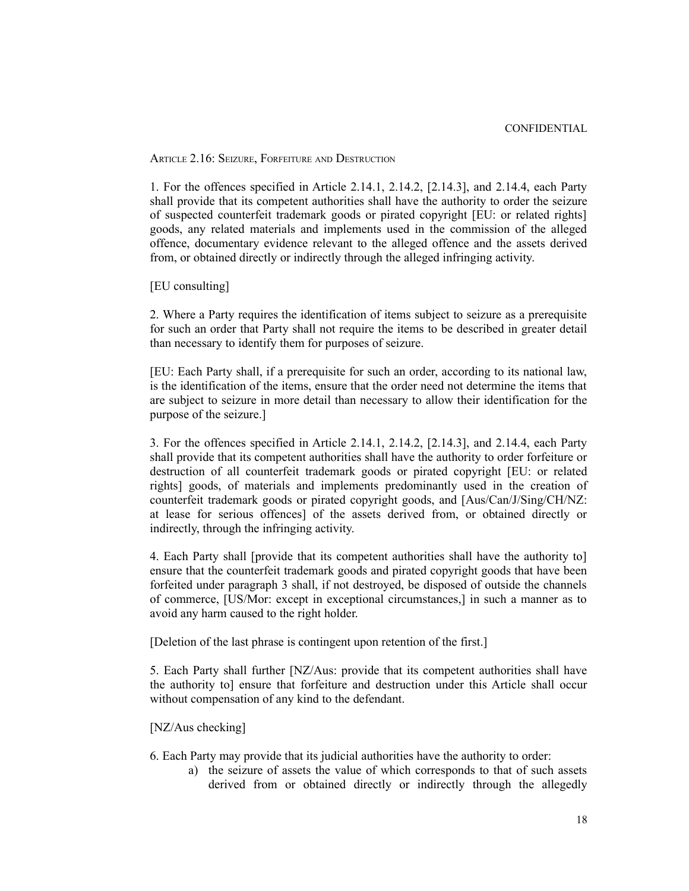ARTICLE 2.16: SEIZURE, FORFEITURE AND DESTRUCTION

1. For the offences specified in Article 2.14.1, 2.14.2, [2.14.3], and 2.14.4, each Party shall provide that its competent authorities shall have the authority to order the seizure of suspected counterfeit trademark goods or pirated copyright [EU: or related rights] goods, any related materials and implements used in the commission of the alleged offence, documentary evidence relevant to the alleged offence and the assets derived from, or obtained directly or indirectly through the alleged infringing activity.

[EU consulting]

2. Where a Party requires the identification of items subject to seizure as a prerequisite for such an order that Party shall not require the items to be described in greater detail than necessary to identify them for purposes of seizure.

[EU: Each Party shall, if a prerequisite for such an order, according to its national law, is the identification of the items, ensure that the order need not determine the items that are subject to seizure in more detail than necessary to allow their identification for the purpose of the seizure.]

3. For the offences specified in Article 2.14.1, 2.14.2, [2.14.3], and 2.14.4, each Party shall provide that its competent authorities shall have the authority to order forfeiture or destruction of all counterfeit trademark goods or pirated copyright [EU: or related rights] goods, of materials and implements predominantly used in the creation of counterfeit trademark goods or pirated copyright goods, and [Aus/Can/J/Sing/CH/NZ: at lease for serious offences] of the assets derived from, or obtained directly or indirectly, through the infringing activity.

4. Each Party shall [provide that its competent authorities shall have the authority to] ensure that the counterfeit trademark goods and pirated copyright goods that have been forfeited under paragraph 3 shall, if not destroyed, be disposed of outside the channels of commerce, [US/Mor: except in exceptional circumstances,] in such a manner as to avoid any harm caused to the right holder.

[Deletion of the last phrase is contingent upon retention of the first.]

5. Each Party shall further [NZ/Aus: provide that its competent authorities shall have the authority to] ensure that forfeiture and destruction under this Article shall occur without compensation of any kind to the defendant.

## [NZ/Aus checking]

6. Each Party may provide that its judicial authorities have the authority to order:

a) the seizure of assets the value of which corresponds to that of such assets derived from or obtained directly or indirectly through the allegedly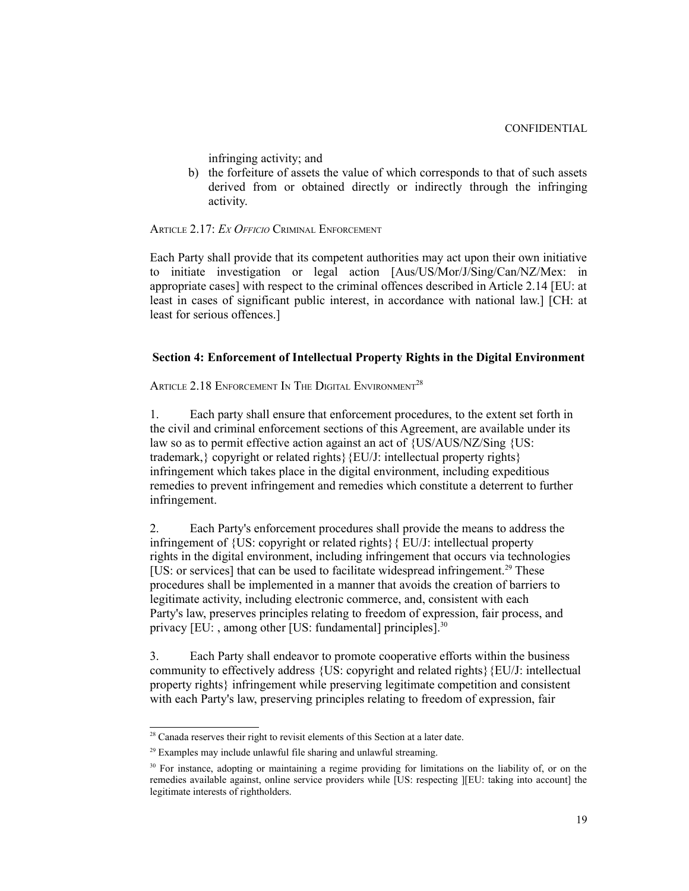infringing activity; and

b) the forfeiture of assets the value of which corresponds to that of such assets derived from or obtained directly or indirectly through the infringing activity.

ARTICLE 2.17: *EX OFFICIO* CRIMINAL ENFORCEMENT

Each Party shall provide that its competent authorities may act upon their own initiative to initiate investigation or legal action [Aus/US/Mor/J/Sing/Can/NZ/Mex: in appropriate cases] with respect to the criminal offences described in Article 2.14 [EU: at least in cases of significant public interest, in accordance with national law.] [CH: at least for serious offences.]

## **Section 4: Enforcement of Intellectual Property Rights in the Digital Environment**

ARTICLE 2.18 ENFORCEMENT IN THE DIGITAL ENVIRONMENT<sup>[28](#page-18-0)</sup>

1. Each party shall ensure that enforcement procedures, to the extent set forth in the civil and criminal enforcement sections of this Agreement, are available under its law so as to permit effective action against an act of {US/AUS/NZ/Sing {US: trademark,} copyright or related rights}{EU/J: intellectual property rights} infringement which takes place in the digital environment, including expeditious remedies to prevent infringement and remedies which constitute a deterrent to further infringement.

2. Each Party's enforcement procedures shall provide the means to address the infringement of {US: copyright or related rights}{ EU/J: intellectual property rights in the digital environment, including infringement that occurs via technologies [US: or services] that can be used to facilitate widespread infringement.<sup>[29](#page-18-1)</sup> These procedures shall be implemented in a manner that avoids the creation of barriers to legitimate activity, including electronic commerce, and, consistent with each Party's law, preserves principles relating to freedom of expression, fair process, and privacy [EU: , among other [US: fundamental] principles<sup>]. [30](#page-18-2)</sup>

3. Each Party shall endeavor to promote cooperative efforts within the business community to effectively address {US: copyright and related rights}{EU/J: intellectual property rights} infringement while preserving legitimate competition and consistent with each Party's law, preserving principles relating to freedom of expression, fair

<span id="page-18-0"></span><sup>&</sup>lt;sup>28</sup> Canada reserves their right to revisit elements of this Section at a later date.

<span id="page-18-1"></span> $29$  Examples may include unlawful file sharing and unlawful streaming.

<span id="page-18-2"></span><sup>&</sup>lt;sup>30</sup> For instance, adopting or maintaining a regime providing for limitations on the liability of, or on the remedies available against, online service providers while [US: respecting ][EU: taking into account] the legitimate interests of rightholders.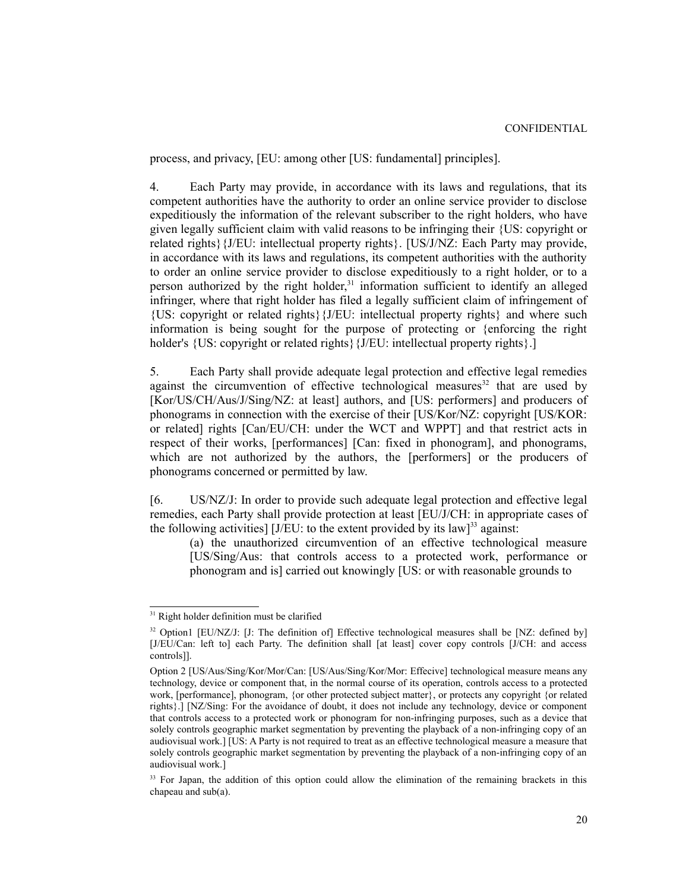process, and privacy, [EU: among other [US: fundamental] principles].

4. Each Party may provide, in accordance with its laws and regulations, that its competent authorities have the authority to order an online service provider to disclose expeditiously the information of the relevant subscriber to the right holders, who have given legally sufficient claim with valid reasons to be infringing their {US: copyright or related rights}{J/EU: intellectual property rights}. [US/J/NZ: Each Party may provide, in accordance with its laws and regulations, its competent authorities with the authority to order an online service provider to disclose expeditiously to a right holder, or to a person authorized by the right holder,<sup>[31](#page-19-0)</sup> information sufficient to identify an alleged infringer, where that right holder has filed a legally sufficient claim of infringement of {US: copyright or related rights}{J/EU: intellectual property rights} and where such information is being sought for the purpose of protecting or {enforcing the right holder's {US: copyright or related rights} {J/EU: intellectual property rights}.]

5. Each Party shall provide adequate legal protection and effective legal remedies against the circumvention of effective technological measures<sup>[32](#page-19-1)</sup> that are used by [Kor/US/CH/Aus/J/Sing/NZ: at least] authors, and [US: performers] and producers of phonograms in connection with the exercise of their [US/Kor/NZ: copyright [US/KOR: or related] rights [Can/EU/CH: under the WCT and WPPT] and that restrict acts in respect of their works, [performances] [Can: fixed in phonogram], and phonograms, which are not authorized by the authors, the [performers] or the producers of phonograms concerned or permitted by law.

[6. US/NZ/J: In order to provide such adequate legal protection and effective legal remedies, each Party shall provide protection at least [EU/J/CH: in appropriate cases of the following activities]  $[J/EU:$  to the extent provided by its law]<sup>[33](#page-19-2)</sup> against:

(a) the unauthorized circumvention of an effective technological measure [US/Sing/Aus: that controls access to a protected work, performance or phonogram and is] carried out knowingly [US: or with reasonable grounds to

<span id="page-19-0"></span><sup>&</sup>lt;sup>31</sup> Right holder definition must be clarified

<span id="page-19-1"></span><sup>&</sup>lt;sup>32</sup> Option1 [EU/NZ/J: [J: The definition of] Effective technological measures shall be [NZ: defined by] [J/EU/Can: left to] each Party. The definition shall [at least] cover copy controls [J/CH: and access controls]].

Option 2 [US/Aus/Sing/Kor/Mor/Can: [US/Aus/Sing/Kor/Mor: Effecive] technological measure means any technology, device or component that, in the normal course of its operation, controls access to a protected work, [performance], phonogram, {or other protected subject matter}, or protects any copyright {or related rights}.] [NZ/Sing: For the avoidance of doubt, it does not include any technology, device or component that controls access to a protected work or phonogram for non-infringing purposes, such as a device that solely controls geographic market segmentation by preventing the playback of a non-infringing copy of an audiovisual work.] [US: A Party is not required to treat as an effective technological measure a measure that solely controls geographic market segmentation by preventing the playback of a non-infringing copy of an audiovisual work.]

<span id="page-19-2"></span><sup>&</sup>lt;sup>33</sup> For Japan, the addition of this option could allow the elimination of the remaining brackets in this chapeau and sub(a).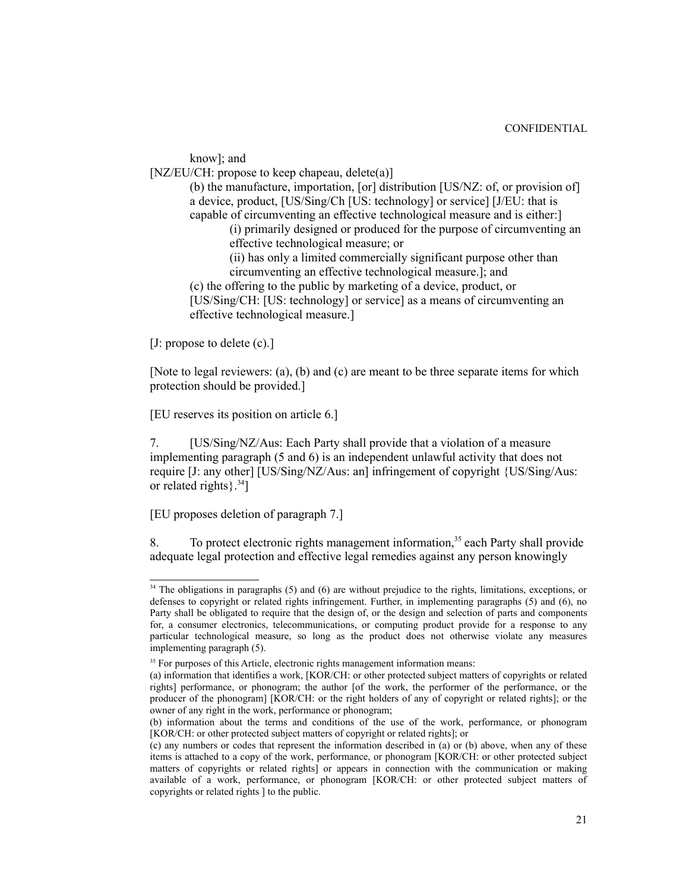know]; and [NZ/EU/CH: propose to keep chapeau, delete(a)] (b) the manufacture, importation, [or] distribution [US/NZ: of, or provision of] a device, product, [US/Sing/Ch [US: technology] or service] [J/EU: that is capable of circumventing an effective technological measure and is either:] (i) primarily designed or produced for the purpose of circumventing an effective technological measure; or (ii) has only a limited commercially significant purpose other than circumventing an effective technological measure.]; and (c) the offering to the public by marketing of a device, product, or [US/Sing/CH: [US: technology] or service] as a means of circumventing an effective technological measure.]

[J: propose to delete (c).]

[Note to legal reviewers: (a), (b) and (c) are meant to be three separate items for which protection should be provided.]

[EU reserves its position on article 6.]

7. [US/Sing/NZ/Aus: Each Party shall provide that a violation of a measure implementing paragraph (5 and 6) is an independent unlawful activity that does not require [J: any other] [US/Sing/NZ/Aus: an] infringement of copyright {US/Sing/Aus: or related rights $\frac{34}{3}$  $\frac{34}{3}$  $\frac{34}{3}$ ]

[EU proposes deletion of paragraph 7.]

To protect electronic rights management information,<sup>[35](#page-20-1)</sup> each Party shall provide adequate legal protection and effective legal remedies against any person knowingly

<span id="page-20-0"></span><sup>&</sup>lt;sup>34</sup> The obligations in paragraphs (5) and (6) are without prejudice to the rights, limitations, exceptions, or defenses to copyright or related rights infringement. Further, in implementing paragraphs (5) and (6), no Party shall be obligated to require that the design of, or the design and selection of parts and components for, a consumer electronics, telecommunications, or computing product provide for a response to any particular technological measure, so long as the product does not otherwise violate any measures implementing paragraph (5).

<span id="page-20-1"></span><sup>&</sup>lt;sup>35</sup> For purposes of this Article, electronic rights management information means:

<sup>(</sup>a) information that identifies a work, [KOR/CH: or other protected subject matters of copyrights or related rights] performance, or phonogram; the author [of the work, the performer of the performance, or the producer of the phonogram] [KOR/CH: or the right holders of any of copyright or related rights]; or the owner of any right in the work, performance or phonogram;

<sup>(</sup>b) information about the terms and conditions of the use of the work, performance, or phonogram [KOR/CH: or other protected subject matters of copyright or related rights]; or

<sup>(</sup>c) any numbers or codes that represent the information described in (a) or (b) above, when any of these items is attached to a copy of the work, performance, or phonogram [KOR/CH: or other protected subject matters of copyrights or related rights] or appears in connection with the communication or making available of a work, performance, or phonogram [KOR/CH: or other protected subject matters of copyrights or related rights ] to the public.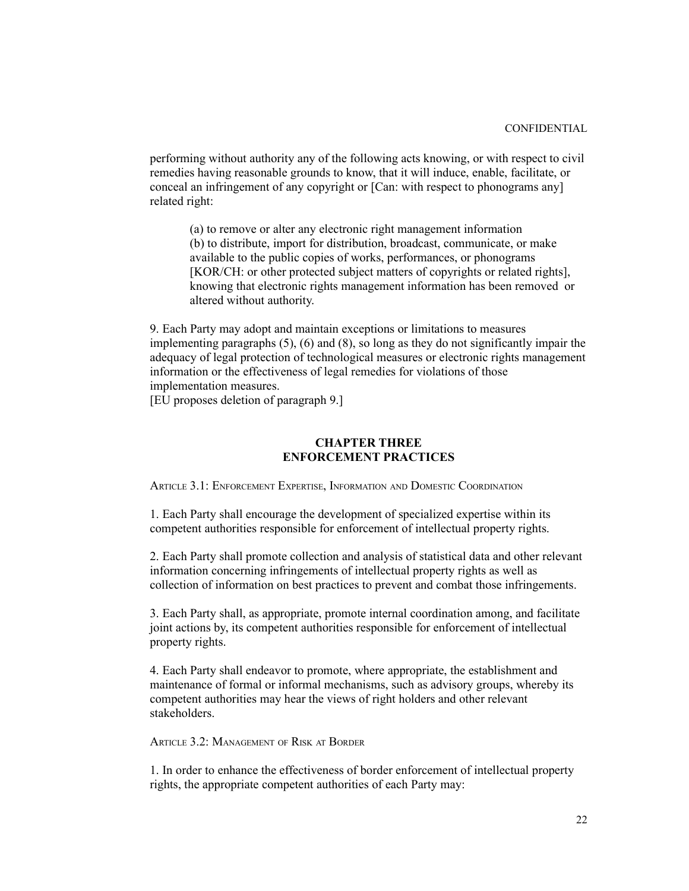performing without authority any of the following acts knowing, or with respect to civil remedies having reasonable grounds to know, that it will induce, enable, facilitate, or conceal an infringement of any copyright or [Can: with respect to phonograms any] related right:

(a) to remove or alter any electronic right management information (b) to distribute, import for distribution, broadcast, communicate, or make available to the public copies of works, performances, or phonograms [KOR/CH: or other protected subject matters of copyrights or related rights], knowing that electronic rights management information has been removed or altered without authority.

9. Each Party may adopt and maintain exceptions or limitations to measures implementing paragraphs (5), (6) and (8), so long as they do not significantly impair the adequacy of legal protection of technological measures or electronic rights management information or the effectiveness of legal remedies for violations of those implementation measures.

[EU proposes deletion of paragraph 9.]

# **CHAPTER THREE ENFORCEMENT PRACTICES**

ARTICLE 3.1: ENFORCEMENT EXPERTISE, INFORMATION AND DOMESTIC COORDINATION

1. Each Party shall encourage the development of specialized expertise within its competent authorities responsible for enforcement of intellectual property rights.

2. Each Party shall promote collection and analysis of statistical data and other relevant information concerning infringements of intellectual property rights as well as collection of information on best practices to prevent and combat those infringements.

3. Each Party shall, as appropriate, promote internal coordination among, and facilitate joint actions by, its competent authorities responsible for enforcement of intellectual property rights.

4. Each Party shall endeavor to promote, where appropriate, the establishment and maintenance of formal or informal mechanisms, such as advisory groups, whereby its competent authorities may hear the views of right holders and other relevant stakeholders.

ARTICLE 3.2: MANAGEMENT OF RISK AT BORDER

1. In order to enhance the effectiveness of border enforcement of intellectual property rights, the appropriate competent authorities of each Party may: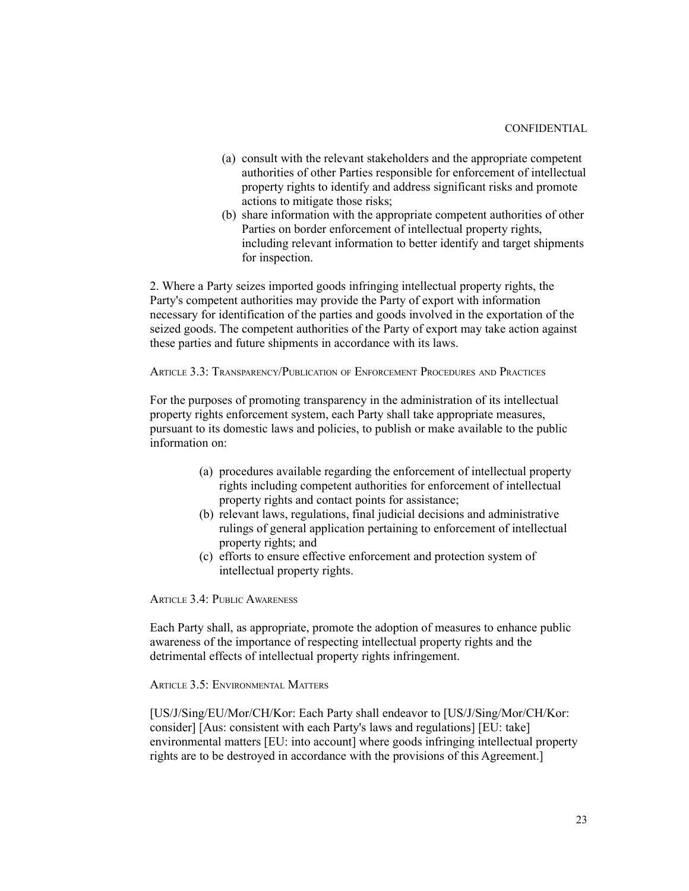- (a) consult with the relevant stakeholders and the appropriate competent authorities of other Parties responsible for enforcement of intellectual property rights to identify and address significant risks and promote actions to mitigate those risks;
- (b) share information with the appropriate competent authorities of other Parties on border enforcement of intellectual property rights, including relevant information to better identify and target shipments for inspection.

2. Where a Party seizes imported goods infringing intellectual property rights, the Party's competent authorities may provide the Party of export with information necessary for identification of the parties and goods involved in the exportation of the seized goods. The competent authorities of the Party of export may take action against these parties and future shipments in accordance with its laws.

ARTICLE 3.3: TRANSPARENCY/PUBLICATION OF ENFORCEMENT PROCEDURES AND PRACTICES

For the purposes of promoting transparency in the administration of its intellectual property rights enforcement system, each Party shall take appropriate measures, pursuant to its domestic laws and policies, to publish or make available to the public information on:

- (a) procedures available regarding the enforcement of intellectual property rights including competent authorities for enforcement of intellectual property rights and contact points for assistance;
- (b) relevant laws, regulations, final judicial decisions and administrative rulings of general application pertaining to enforcement of intellectual property rights; and
- (c) efforts to ensure effective enforcement and protection system of intellectual property rights.

ARTICLE 3.4: PUBLIC AWARENESS

Each Party shall, as appropriate, promote the adoption of measures to enhance public awareness of the importance of respecting intellectual property rights and the detrimental effects of intellectual property rights infringement.

ARTICLE 3.5: ENVIRONMENTAL MATTERS

[US/J/Sing/EU/Mor/CH/Kor: Each Party shall endeavor to [US/J/Sing/Mor/CH/Kor: consider] [Aus: consistent with each Party's laws and regulations] [EU: take] environmental matters [EU: into account] where goods infringing intellectual property rights are to be destroyed in accordance with the provisions of this Agreement.]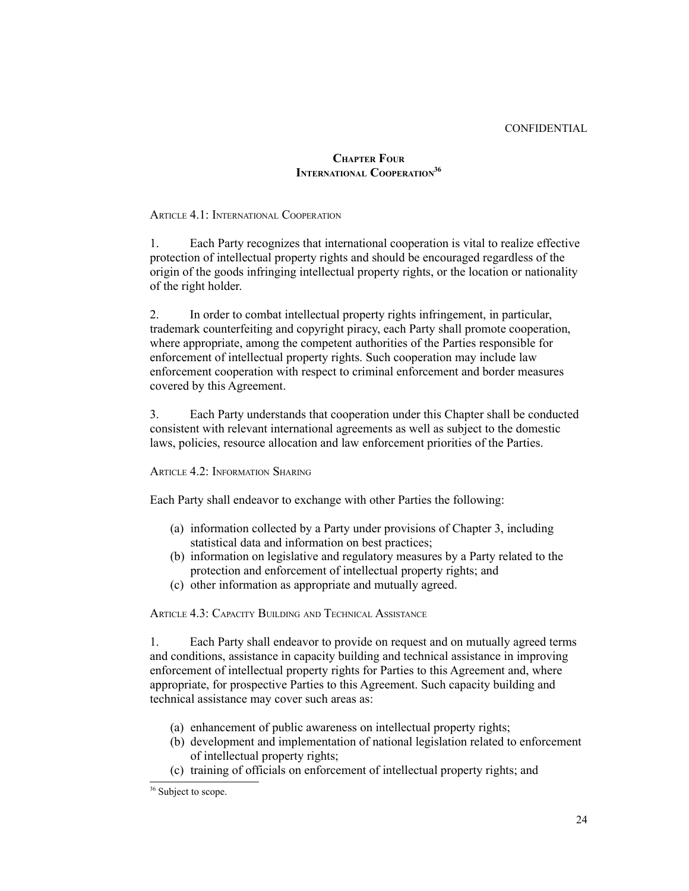#### CONFIDENTIAL

# **CHAPTER FOUR INTERNATIONAL COOPERATION[36](#page-23-0)**

## ARTICLE 4.1: INTERNATIONAL COOPERATION

1. Each Party recognizes that international cooperation is vital to realize effective protection of intellectual property rights and should be encouraged regardless of the origin of the goods infringing intellectual property rights, or the location or nationality of the right holder.

2. In order to combat intellectual property rights infringement, in particular, trademark counterfeiting and copyright piracy, each Party shall promote cooperation, where appropriate, among the competent authorities of the Parties responsible for enforcement of intellectual property rights. Such cooperation may include law enforcement cooperation with respect to criminal enforcement and border measures covered by this Agreement.

3. Each Party understands that cooperation under this Chapter shall be conducted consistent with relevant international agreements as well as subject to the domestic laws, policies, resource allocation and law enforcement priorities of the Parties.

ARTICLE 4.2: INFORMATION SHARING

Each Party shall endeavor to exchange with other Parties the following:

- (a) information collected by a Party under provisions of Chapter 3, including statistical data and information on best practices;
- (b) information on legislative and regulatory measures by a Party related to the protection and enforcement of intellectual property rights; and
- (c) other information as appropriate and mutually agreed.

ARTICLE 4.3: CAPACITY BUILDING AND TECHNICAL ASSISTANCE

1. Each Party shall endeavor to provide on request and on mutually agreed terms and conditions, assistance in capacity building and technical assistance in improving enforcement of intellectual property rights for Parties to this Agreement and, where appropriate, for prospective Parties to this Agreement. Such capacity building and technical assistance may cover such areas as:

- (a) enhancement of public awareness on intellectual property rights;
- (b) development and implementation of national legislation related to enforcement of intellectual property rights;
- (c) training of officials on enforcement of intellectual property rights; and

<span id="page-23-0"></span><sup>&</sup>lt;sup>36</sup> Subject to scope.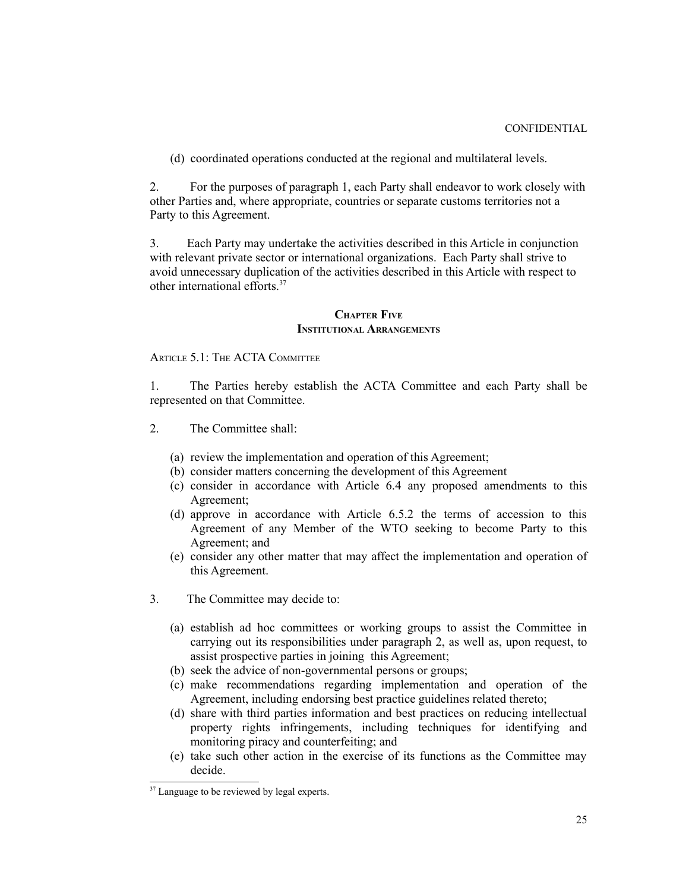(d) coordinated operations conducted at the regional and multilateral levels.

2. For the purposes of paragraph 1, each Party shall endeavor to work closely with other Parties and, where appropriate, countries or separate customs territories not a Party to this Agreement.

3. Each Party may undertake the activities described in this Article in conjunction with relevant private sector or international organizations. Each Party shall strive to avoid unnecessary duplication of the activities described in this Article with respect to other international efforts.[37](#page-24-0)

## **CHAPTER FIVE INSTITUTIONAL ARRANGEMENTS**

ARTICLE 5.1: THE ACTA COMMITTEE

1. The Parties hereby establish the ACTA Committee and each Party shall be represented on that Committee.

- 2. The Committee shall:
	- (a) review the implementation and operation of this Agreement;
	- (b) consider matters concerning the development of this Agreement
	- (c) consider in accordance with Article 6.4 any proposed amendments to this Agreement;
	- (d) approve in accordance with Article 6.5.2 the terms of accession to this Agreement of any Member of the WTO seeking to become Party to this Agreement; and
	- (e) consider any other matter that may affect the implementation and operation of this Agreement.
- 3. The Committee may decide to:
	- (a) establish ad hoc committees or working groups to assist the Committee in carrying out its responsibilities under paragraph 2, as well as, upon request, to assist prospective parties in joining this Agreement;
	- (b) seek the advice of non-governmental persons or groups;
	- (c) make recommendations regarding implementation and operation of the Agreement, including endorsing best practice guidelines related thereto;
	- (d) share with third parties information and best practices on reducing intellectual property rights infringements, including techniques for identifying and monitoring piracy and counterfeiting; and
	- (e) take such other action in the exercise of its functions as the Committee may decide.

<span id="page-24-0"></span><sup>&</sup>lt;sup>37</sup> Language to be reviewed by legal experts.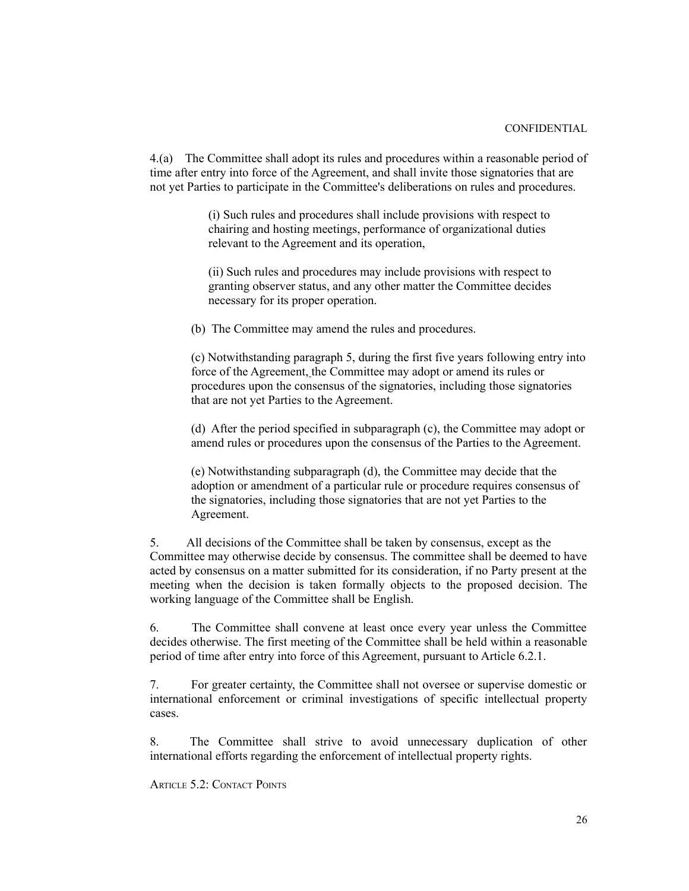4.(a) The Committee shall adopt its rules and procedures within a reasonable period of time after entry into force of the Agreement, and shall invite those signatories that are not yet Parties to participate in the Committee's deliberations on rules and procedures.

> (i) Such rules and procedures shall include provisions with respect to chairing and hosting meetings, performance of organizational duties relevant to the Agreement and its operation,

> (ii) Such rules and procedures may include provisions with respect to granting observer status, and any other matter the Committee decides necessary for its proper operation.

(b) The Committee may amend the rules and procedures.

(c) Notwithstanding paragraph 5, during the first five years following entry into force of the Agreement, the Committee may adopt or amend its rules or procedures upon the consensus of the signatories, including those signatories that are not yet Parties to the Agreement.

(d) After the period specified in subparagraph (c), the Committee may adopt or amend rules or procedures upon the consensus of the Parties to the Agreement.

(e) Notwithstanding subparagraph (d), the Committee may decide that the adoption or amendment of a particular rule or procedure requires consensus of the signatories, including those signatories that are not yet Parties to the Agreement.

5. All decisions of the Committee shall be taken by consensus, except as the Committee may otherwise decide by consensus. The committee shall be deemed to have acted by consensus on a matter submitted for its consideration, if no Party present at the meeting when the decision is taken formally objects to the proposed decision. The working language of the Committee shall be English.

6. The Committee shall convene at least once every year unless the Committee decides otherwise. The first meeting of the Committee shall be held within a reasonable period of time after entry into force of this Agreement, pursuant to Article 6.2.1.

7. For greater certainty, the Committee shall not oversee or supervise domestic or international enforcement or criminal investigations of specific intellectual property cases.

8. The Committee shall strive to avoid unnecessary duplication of other international efforts regarding the enforcement of intellectual property rights.

ARTICLE 5.2: CONTACT POINTS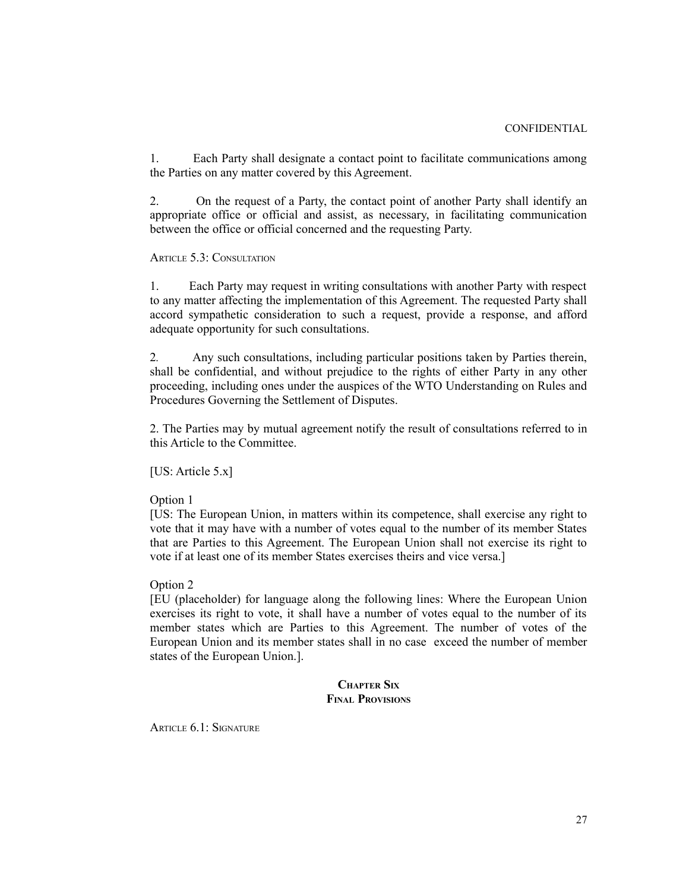1. Each Party shall designate a contact point to facilitate communications among the Parties on any matter covered by this Agreement.

2. On the request of a Party, the contact point of another Party shall identify an appropriate office or official and assist, as necessary, in facilitating communication between the office or official concerned and the requesting Party.

ARTICLE 5.3: CONSULTATION

1. Each Party may request in writing consultations with another Party with respect to any matter affecting the implementation of this Agreement. The requested Party shall accord sympathetic consideration to such a request, provide a response, and afford adequate opportunity for such consultations.

2*.* Any such consultations, including particular positions taken by Parties therein, shall be confidential, and without prejudice to the rights of either Party in any other proceeding, including ones under the auspices of the WTO Understanding on Rules and Procedures Governing the Settlement of Disputes.

2. The Parties may by mutual agreement notify the result of consultations referred to in this Article to the Committee.

[US: Article  $5.x$ ]

Option 1

[US: The European Union, in matters within its competence, shall exercise any right to vote that it may have with a number of votes equal to the number of its member States that are Parties to this Agreement. The European Union shall not exercise its right to vote if at least one of its member States exercises theirs and vice versa.]

Option 2

[EU (placeholder) for language along the following lines: Where the European Union exercises its right to vote, it shall have a number of votes equal to the number of its member states which are Parties to this Agreement. The number of votes of the European Union and its member states shall in no case exceed the number of member states of the European Union.].

> **CHAPTER SIX FINAL PROVISIONS**

ARTICLE 6.1: SIGNATURE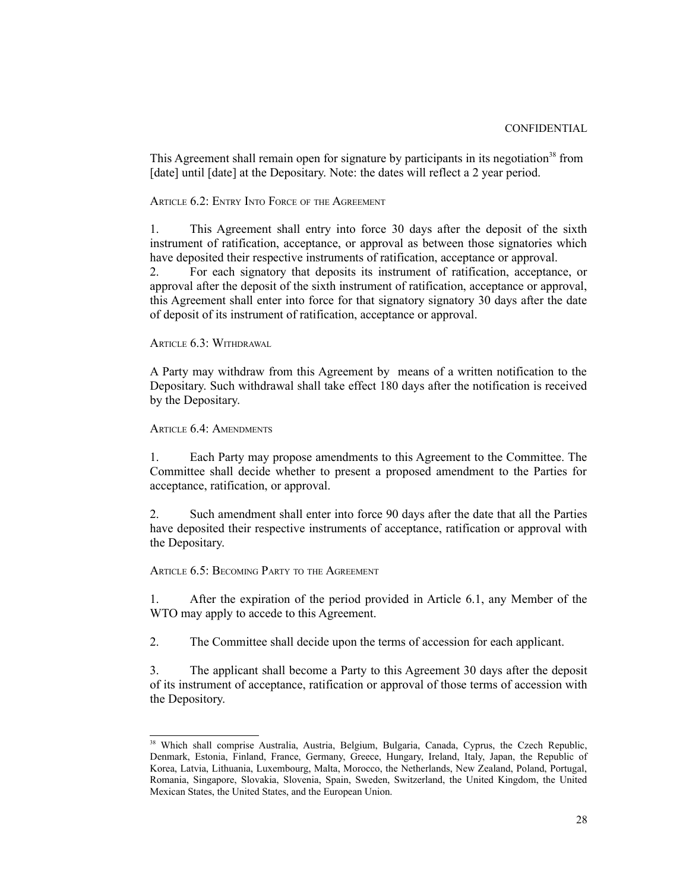This Agreement shall remain open for signature by participants in its negotiation<sup>[38](#page-27-0)</sup> from [date] until [date] at the Depositary. Note: the dates will reflect a 2 year period.

ARTICLE 6.2: ENTRY INTO FORCE OF THE AGREEMENT

1. This Agreement shall entry into force 30 days after the deposit of the sixth instrument of ratification, acceptance, or approval as between those signatories which have deposited their respective instruments of ratification, acceptance or approval.

2. For each signatory that deposits its instrument of ratification, acceptance, or approval after the deposit of the sixth instrument of ratification, acceptance or approval, this Agreement shall enter into force for that signatory signatory 30 days after the date of deposit of its instrument of ratification, acceptance or approval.

ARTICLE 6.3: WITHDRAWAL

A Party may withdraw from this Agreement by means of a written notification to the Depositary. Such withdrawal shall take effect 180 days after the notification is received by the Depositary.

ARTICLE 6.4: AMENDMENTS

1. Each Party may propose amendments to this Agreement to the Committee. The Committee shall decide whether to present a proposed amendment to the Parties for acceptance, ratification, or approval.

2. Such amendment shall enter into force 90 days after the date that all the Parties have deposited their respective instruments of acceptance, ratification or approval with the Depositary.

ARTICLE 6.5: BECOMING PARTY TO THE AGREEMENT

1. After the expiration of the period provided in Article 6.1, any Member of the WTO may apply to accede to this Agreement.

2. The Committee shall decide upon the terms of accession for each applicant.

3. The applicant shall become a Party to this Agreement 30 days after the deposit of its instrument of acceptance, ratification or approval of those terms of accession with the Depository.

<span id="page-27-0"></span><sup>&</sup>lt;sup>38</sup> Which shall comprise Australia, Austria, Belgium, Bulgaria, Canada, Cyprus, the Czech Republic, Denmark, Estonia, Finland, France, Germany, Greece, Hungary, Ireland, Italy, Japan, the Republic of Korea, Latvia, Lithuania, Luxembourg, Malta, Morocco, the Netherlands, New Zealand, Poland, Portugal, Romania, Singapore, Slovakia, Slovenia, Spain, Sweden, Switzerland, the United Kingdom, the United Mexican States, the United States, and the European Union.